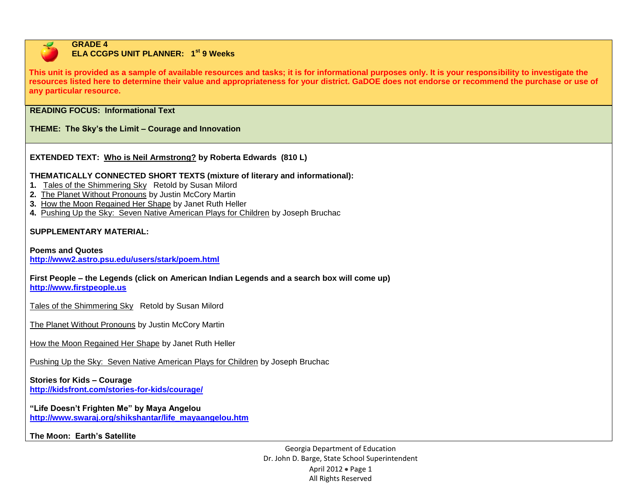

#### **GRADE 4 ELA CCGPS UNIT PLANNER:** 1<sup>st</sup> 9 Weeks

**This unit is provided as a sample of available resources and tasks; it is for informational purposes only. It is your responsibility to investigate the resources listed here to determine their value and appropriateness for your district. GaDOE does not endorse or recommend the purchase or use of any particular resource.**

**READING FOCUS: Informational Text**

**THEME: The Sky's the Limit – Courage and Innovation**

**EXTENDED TEXT: Who is Neil Armstrong? by Roberta Edwards (810 L)**

**THEMATICALLY CONNECTED SHORT TEXTS (mixture of literary and informational):**

- **1.** Tales of the Shimmering SkyRetold by Susan Milord
- **2.** The Planet Without Pronouns by Justin McCory Martin
- **3.** How the Moon Regained Her Shape by Janet Ruth Heller
- **4.** Pushing Up the Sky: Seven Native American Plays for Children by Joseph Bruchac

## **SUPPLEMENTARY MATERIAL:**

**Poems and Quotes <http://www2.astro.psu.edu/users/stark/poem.html>**

**First People – the Legends (click on American Indian Legends and a search box will come up) [http://www.firstpeople.us](http://www.firstpeople.us/)**

Tales of the Shimmering SkyRetold by Susan Milord

The Planet Without Pronouns by Justin McCory Martin

How the Moon Regained Her Shape by Janet Ruth Heller

Pushing Up the Sky: Seven Native American Plays for Children by Joseph Bruchac

**Stories for Kids – Courage <http://kidsfront.com/stories-for-kids/courage/>**

**"Life Doesn't Frighten Me" by Maya Angelou**

**[http://www.swaraj.org/shikshantar/life\\_mayaangelou.htm](http://www.swaraj.org/shikshantar/life_mayaangelou.htm)**

**The Moon: Earth's Satellite**

Georgia Department of Education Dr. John D. Barge, State School Superintendent April 2012  $\bullet$  Page 1 All Rights Reserved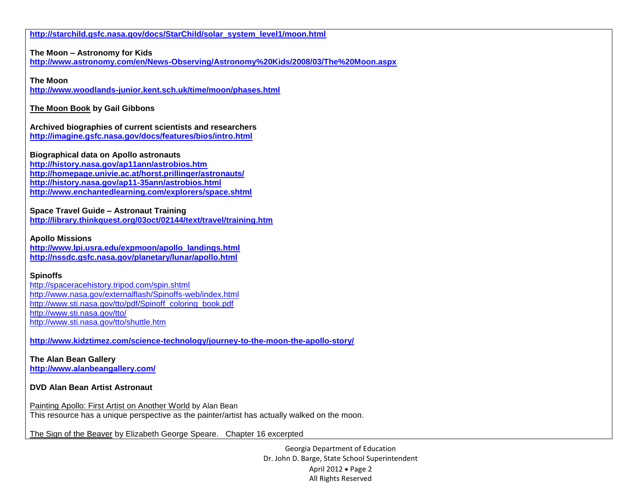**[http://starchild.gsfc.nasa.gov/docs/StarChild/solar\\_system\\_level1/moon.html](http://starchild.gsfc.nasa.gov/docs/StarChild/solar_system_level1/moon.html)**

**The Moon – Astronomy for Kids**

**<http://www.astronomy.com/en/News-Observing/Astronomy%20Kids/2008/03/The%20Moon.aspx>**

**The Moon**

**<http://www.woodlands-junior.kent.sch.uk/time/moon/phases.html>**

**The Moon Book by Gail Gibbons**

**Archived biographies of current scientists and researchers <http://imagine.gsfc.nasa.gov/docs/features/bios/intro.html>**

**Biographical data on Apollo astronauts <http://history.nasa.gov/ap11ann/astrobios.htm> <http://homepage.univie.ac.at/horst.prillinger/astronauts/> <http://history.nasa.gov/ap11-35ann/astrobios.html> <http://www.enchantedlearning.com/explorers/space.shtml>**

**Space Travel Guide – Astronaut Training <http://library.thinkquest.org/03oct/02144/text/travel/training.htm>**

**Apollo Missions [http://www.lpi.usra.edu/expmoon/apollo\\_landings.html](http://www.lpi.usra.edu/expmoon/apollo_landings.html)**

**<http://nssdc.gsfc.nasa.gov/planetary/lunar/apollo.html>**

### **Spinoffs**

<http://spaceracehistory.tripod.com/spin.shtml> <http://www.nasa.gov/externalflash/Spinoffs-web/index.html> [http://www.sti.nasa.gov/tto/pdf/Spinoff\\_coloring\\_book.pdf](http://www.sti.nasa.gov/tto/pdf/Spinoff_coloring_book.pdf) <http://www.sti.nasa.gov/tto/> <http://www.sti.nasa.gov/tto/shuttle.htm>

**<http://www.kidztimez.com/science-technology/journey-to-the-moon-the-apollo-story/>**

**The Alan Bean Gallery <http://www.alanbeangallery.com/>**

**DVD Alan Bean Artist Astronaut**

[Painting Apollo: First Artist on Another World](http://www.amazon.com/Painting-Apollo-First-Artist-Another/dp/1588342646/ref=sr_1_1?ie=UTF8&qid=1329310953&sr=8-1) by [Alan Bean](http://www.amazon.com/Alan-Bean/e/B001K6ZSF0/ref=sr_ntt_srch_lnk_1?qid=1329310953&sr=8-1) This resource has a unique perspective as the painter/artist has actually walked on the moon.

The Sign of the Beaver by Elizabeth George Speare. Chapter 16 excerpted

Georgia Department of Education Dr. John D. Barge, State School Superintendent April 2012 . Page 2 All Rights Reserved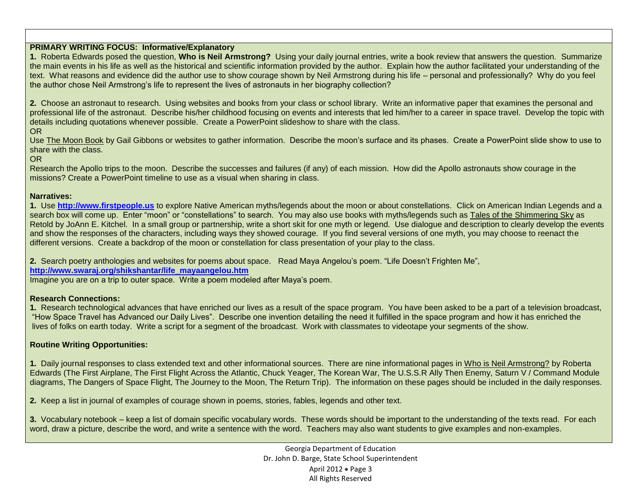## **PRIMARY WRITING FOCUS: Informative/Explanatory**

**1.** Roberta Edwards posed the question, **Who is Neil Armstrong?** Using your daily journal entries, write a book review that answers the question. Summarize the main events in his life as well as the historical and scientific information provided by the author. Explain how the author facilitated your understanding of the text. What reasons and evidence did the author use to show courage shown by Neil Armstrong during his life – personal and professionally? Why do you feel the author chose Neil Armstrong's life to represent the lives of astronauts in her biography collection?

**2.** Choose an astronaut to research. Using websites and books from your class or school library. Write an informative paper that examines the personal and professional life of the astronaut. Describe his/her childhood focusing on events and interests that led him/her to a career in space travel. Develop the topic with details including quotations whenever possible. Create a PowerPoint slideshow to share with the class.

OR

Use The Moon Book by Gail Gibbons or websites to gather information.Describe the moon's surface and its phases. Create a PowerPoint slide show to use to share with the class.

OR

Research the Apollo trips to the moon. Describe the successes and failures (if any) of each mission. How did the Apollo astronauts show courage in the missions? Create a PowerPoint timeline to use as a visual when sharing in class.

### **Narratives:**

**1.** Use **[http://www.firstpeople.us](http://www.firstpeople.us/)** to explore Native American myths/legends about the moon or about constellations. Click on American Indian Legends and a search box will come up. Enter "moon" or "constellations" to search. You may also use books with myths/legends such as Tales of the Shimmering Sky as Retold by JoAnn E. Kitchel. In a small group or partnership, write a short skit for one myth or legend. Use dialogue and description to clearly develop the events and show the responses of the characters, including ways they showed courage. If you find several versions of one myth, you may choose to reenact the different versions. Create a backdrop of the moon or constellation for class presentation of your play to the class.

**2.** Search poetry anthologies and websites for poems about space. Read Maya Angelou's poem. "Life Doesn't Frighten Me", **[http://www.swaraj.org/shikshantar/life\\_mayaangelou.htm](http://www.swaraj.org/shikshantar/life_mayaangelou.htm)**

Imagine you are on a trip to outer space. Write a poem modeled after Maya's poem.

## **Research Connections:**

**1.** Research technological advances that have enriched our lives as a result of the space program. You have been asked to be a part of a television broadcast, "How Space Travel has Advanced our Daily Lives". Describe one invention detailing the need it fulfilled in the space program and how it has enriched the lives of folks on earth today. Write a script for a segment of the broadcast. Work with classmates to videotape your segments of the show.

## **Routine Writing Opportunities:**

**1.** Daily journal responses to class extended text and other informational sources. There are nine informational pages in Who is Neil Armstrong? by Roberta Edwards (The First Airplane, The First Flight Across the Atlantic, Chuck Yeager, The Korean War, The U.S.S.R Ally Then Enemy, Saturn V / Command Module diagrams, The Dangers of Space Flight, The Journey to the Moon, The Return Trip). The information on these pages should be included in the daily responses.

**2.** Keep a list in journal of examples of courage shown in poems, stories, fables, legends and other text.

**3.** Vocabulary notebook – keep a list of domain specific vocabulary words. These words should be important to the understanding of the texts read. For each word, draw a picture, describe the word, and write a sentence with the word. Teachers may also want students to give examples and non-examples.

> Georgia Department of Education Dr. John D. Barge, State School Superintendent April 2012 • Page 3 All Rights Reserved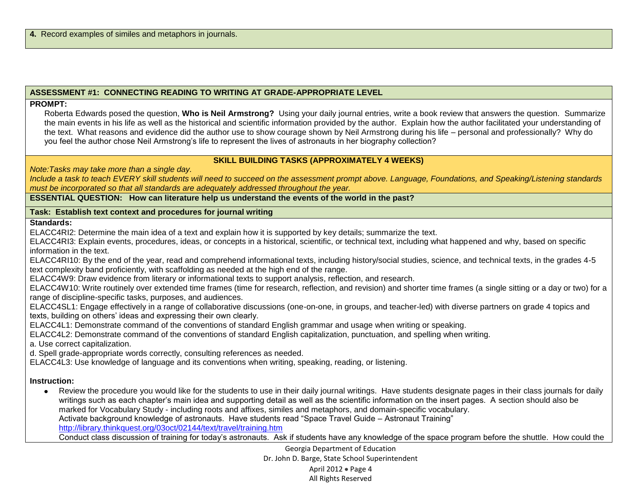### **ASSESSMENT #1: CONNECTING READING TO WRITING AT GRADE-APPROPRIATE LEVEL**

#### **PROMPT:**

Roberta Edwards posed the question, **Who is Neil Armstrong?** Using your daily journal entries, write a book review that answers the question. Summarize the main events in his life as well as the historical and scientific information provided by the author. Explain how the author facilitated your understanding of the text. What reasons and evidence did the author use to show courage shown by Neil Armstrong during his life – personal and professionally? Why do you feel the author chose Neil Armstrong's life to represent the lives of astronauts in her biography collection?

### **SKILL BUILDING TASKS (APPROXIMATELY 4 WEEKS)**

*Note:Tasks may take more than a single day.* 

*Include a task to teach EVERY skill students will need to succeed on the assessment prompt above. Language, Foundations, and Speaking/Listening standards must be incorporated so that all standards are adequately addressed throughout the year.* 

**ESSENTIAL QUESTION: How can literature help us understand the events of the world in the past?**

#### **Task: Establish text context and procedures for journal writing**

#### **Standards:**

ELACC4RI2: Determine the main idea of a text and explain how it is supported by key details; summarize the text.

ELACC4RI3: Explain events, procedures, ideas, or concepts in a historical, scientific, or technical text, including what happened and why, based on specific information in the text.

ELACC4RI10: By the end of the year, read and comprehend informational texts, including history/social studies, science, and technical texts, in the grades 4-5 text complexity band proficiently, with scaffolding as needed at the high end of the range.

ELACC4W9: Draw evidence from literary or informational texts to support analysis, reflection, and research.

ELACC4W10: Write routinely over extended time frames (time for research, reflection, and revision) and shorter time frames (a single sitting or a day or two) for a range of discipline-specific tasks, purposes, and audiences.

ELACC4SL1: Engage effectively in a range of collaborative discussions (one-on-one, in groups, and teacher-led) with diverse partners on grade 4 topics and texts, building on others' ideas and expressing their own clearly.

ELACC4L1: Demonstrate command of the conventions of standard English grammar and usage when writing or speaking.

ELACC4L2: Demonstrate command of the conventions of standard English capitalization, punctuation, and spelling when writing.

a. Use correct capitalization.

d. Spell grade-appropriate words correctly, consulting references as needed.

ELACC4L3: Use knowledge of language and its conventions when writing, speaking, reading, or listening.

#### **Instruction:**

 $\bullet$ Review the procedure you would like for the students to use in their daily journal writings. Have students designate pages in their class journals for daily writings such as each chapter's main idea and supporting detail as well as the scientific information on the insert pages. A section should also be marked for Vocabulary Study - including roots and affixes, similes and metaphors, and domain-specific vocabulary. Activate background knowledge of astronauts. Have students read "Space Travel Guide – Astronaut Training" <http://library.thinkquest.org/03oct/02144/text/travel/training.htm>

Conduct class discussion of training for today's astronauts. Ask if students have any knowledge of the space program before the shuttle. How could the

Georgia Department of Education Dr. John D. Barge, State School Superintendent April 2012  $\bullet$  Page 4 All Rights Reserved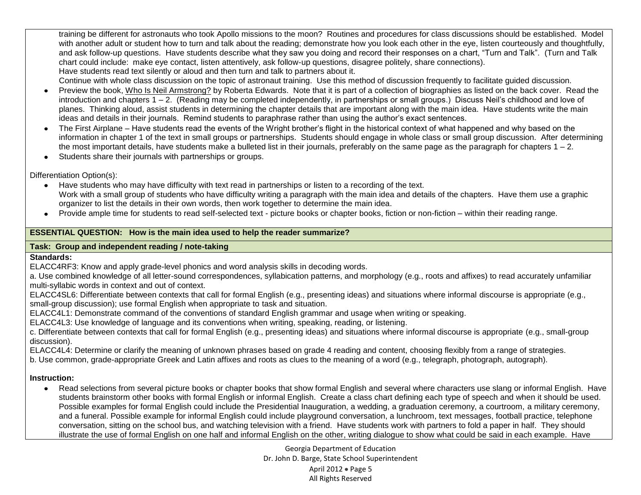training be different for astronauts who took Apollo missions to the moon? Routines and procedures for class discussions should be established. Model with another adult or student how to turn and talk about the reading; demonstrate how you look each other in the eye, listen courteously and thoughtfully, and ask follow-up questions. Have students describe what they saw you doing and record their responses on a chart, "Turn and Talk". (Turn and Talk chart could include: make eye contact, listen attentively, ask follow-up questions, disagree politely, share connections). Have students read text silently or aloud and then turn and talk to partners about it.

Continue with whole class discussion on the topic of astronaut training. Use this method of discussion frequently to facilitate guided discussion.

- Preview the book, Who Is Neil Armstrong? by Roberta Edwards. Note that it is part of a collection of biographies as listed on the back cover. Read the introduction and chapters 1 – 2. (Reading may be completed independently, in partnerships or small groups.) Discuss Neil's childhood and love of planes. Thinking aloud, assist students in determining the chapter details that are important along with the main idea. Have students write the main ideas and details in their journals. Remind students to paraphrase rather than using the author's exact sentences.
- The First Airplane Have students read the events of the Wright brother's flight in the historical context of what happened and why based on the information in chapter 1 of the text in small groups or partnerships. Students should engage in whole class or small group discussion. After determining the most important details, have students make a bulleted list in their journals, preferably on the same page as the paragraph for chapters  $1 - 2$ .
- Students share their journals with partnerships or groups.  $\bullet$

Differentiation Option(s):

- Have students who may have difficulty with text read in partnerships or listen to a recording of the text.  $\bullet$ Work with a small group of students who have difficulty writing a paragraph with the main idea and details of the chapters. Have them use a graphic organizer to list the details in their own words, then work together to determine the main idea.
- Provide ample time for students to read self-selected text picture books or chapter books, fiction or non-fiction within their reading range.  $\bullet$

#### **ESSENTIAL QUESTION: How is the main idea used to help the reader summarize?**

#### **Task: Group and independent reading / note-taking**

#### **Standards:**

ELACC4RF3: Know and apply grade-level phonics and word analysis skills in decoding words.

a. Use combined knowledge of all letter-sound correspondences, syllabication patterns, and morphology (e.g., roots and affixes) to read accurately unfamiliar multi-syllabic words in context and out of context.

ELACC4SL6: Differentiate between contexts that call for formal English (e.g., presenting ideas) and situations where informal discourse is appropriate (e.g., small-group discussion); use formal English when appropriate to task and situation.

ELACC4L1: Demonstrate command of the conventions of standard English grammar and usage when writing or speaking.

ELACC4L3: Use knowledge of language and its conventions when writing, speaking, reading, or listening.

c. Differentiate between contexts that call for formal English (e.g., presenting ideas) and situations where informal discourse is appropriate (e.g., small-group discussion).

ELACC4L4: Determine or clarify the meaning of unknown phrases based on grade 4 reading and content, choosing flexibly from a range of strategies. b. Use common, grade-appropriate Greek and Latin affixes and roots as clues to the meaning of a word (e.g., telegraph, photograph, autograph).

### **Instruction:**

Read selections from several picture books or chapter books that show formal English and several where characters use slang or informal English. Have  $\bullet$ students brainstorm other books with formal English or informal English. Create a class chart defining each type of speech and when it should be used. Possible examples for formal English could include the Presidential Inauguration, a wedding, a graduation ceremony, a courtroom, a military ceremony, and a funeral. Possible example for informal English could include playground conversation, a lunchroom, text messages, football practice, telephone conversation, sitting on the school bus, and watching television with a friend. Have students work with partners to fold a paper in half. They should illustrate the use of formal English on one half and informal English on the other, writing dialogue to show what could be said in each example. Have

> Georgia Department of Education Dr. John D. Barge, State School Superintendent April 2012  $\bullet$  Page 5 All Rights Reserved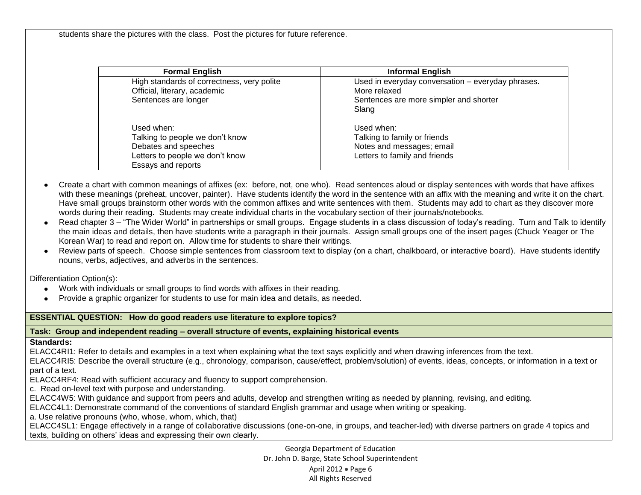| <b>Formal English</b>                                                                              | <b>Informal English</b>                                                                                     |  |  |  |  |
|----------------------------------------------------------------------------------------------------|-------------------------------------------------------------------------------------------------------------|--|--|--|--|
| High standards of correctness, very polite<br>Official, literary, academic<br>Sentences are longer | Used in everyday conversation - everyday phrases.<br>More relaxed<br>Sentences are more simpler and shorter |  |  |  |  |
|                                                                                                    | Slang                                                                                                       |  |  |  |  |
| Used when:                                                                                         | Used when:                                                                                                  |  |  |  |  |
| Talking to people we don't know                                                                    | Talking to family or friends                                                                                |  |  |  |  |
| Debates and speeches                                                                               | Notes and messages; email                                                                                   |  |  |  |  |
| Letters to people we don't know                                                                    | Letters to family and friends                                                                               |  |  |  |  |
| Essays and reports                                                                                 |                                                                                                             |  |  |  |  |

- Create a chart with common meanings of affixes (ex: before, not, one who). Read sentences aloud or display sentences with words that have affixes with these meanings (preheat, uncover, painter). Have students identify the word in the sentence with an affix with the meaning and write it on the chart. Have small groups brainstorm other words with the common affixes and write sentences with them. Students may add to chart as they discover more words during their reading. Students may create individual charts in the vocabulary section of their journals/notebooks.
- Read chapter 3 "The Wider World" in partnerships or small groups. Engage students in a class discussion of today's reading. Turn and Talk to identify the main ideas and details, then have students write a paragraph in their journals. Assign small groups one of the insert pages (Chuck Yeager or The Korean War) to read and report on. Allow time for students to share their writings.
- Review parts of speech. Choose simple sentences from classroom text to display (on a chart, chalkboard, or interactive board). Have students identify nouns, verbs, adjectives, and adverbs in the sentences.

Differentiation Option(s):

- Work with individuals or small groups to find words with affixes in their reading.
- Provide a graphic organizer for students to use for main idea and details, as needed.

**ESSENTIAL QUESTION: How do good readers use literature to explore topics?**

### **Task: Group and independent reading – overall structure of events, explaining historical events**

**Standards:** 

ELACC4RI1: Refer to details and examples in a text when explaining what the text says explicitly and when drawing inferences from the text.

ELACC4RI5: Describe the overall structure (e.g., chronology, comparison, cause/effect, problem/solution) of events, ideas, concepts, or information in a text or part of a text.

ELACC4RF4: Read with sufficient accuracy and fluency to support comprehension.

c. Read on-level text with purpose and understanding.

ELACC4W5: With guidance and support from peers and adults, develop and strengthen writing as needed by planning, revising, and editing.

ELACC4L1: Demonstrate command of the conventions of standard English grammar and usage when writing or speaking.

a. Use relative pronouns (who, whose, whom, which, that)

ELACC4SL1: Engage effectively in a range of collaborative discussions (one-on-one, in groups, and teacher-led) with diverse partners on grade 4 topics and texts, building on others' ideas and expressing their own clearly.

> Georgia Department of Education Dr. John D. Barge, State School Superintendent April 2012  $\bullet$  Page 6 All Rights Reserved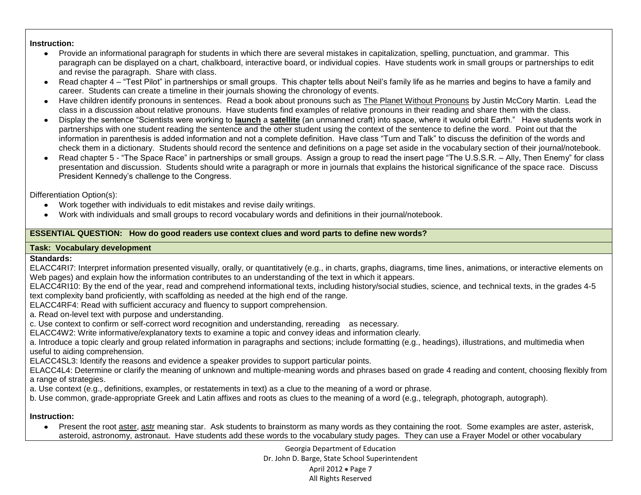### **Instruction:**

- $\bullet$ Provide an informational paragraph for students in which there are several mistakes in capitalization, spelling, punctuation, and grammar. This paragraph can be displayed on a chart, chalkboard, interactive board, or individual copies. Have students work in small groups or partnerships to edit and revise the paragraph. Share with class.
- Read chapter 4 "Test Pilot" in partnerships or small groups. This chapter tells about Neil's family life as he marries and begins to have a family and  $\bullet$ career. Students can create a timeline in their journals showing the chronology of events.
- Have children identify pronouns in sentences. Read a book about pronouns such as The Planet Without Pronouns by Justin McCory Martin. Lead the class in a discussion about relative pronouns. Have students find examples of relative pronouns in their reading and share them with the class.
- Display the sentence "Scientists were working to **launch** a **satellite** (an unmanned craft) into space, where it would orbit Earth." Have students work in partnerships with one student reading the sentence and the other student using the context of the sentence to define the word. Point out that the information in parenthesis is added information and not a complete definition. Have class "Turn and Talk" to discuss the definition of the words and check them in a dictionary. Students should record the sentence and definitions on a page set aside in the vocabulary section of their journal/notebook.
- Read chapter 5 "The Space Race" in partnerships or small groups. Assign a group to read the insert page "The U.S.S.R. Ally, Then Enemy" for class presentation and discussion. Students should write a paragraph or more in journals that explains the historical significance of the space race. Discuss President Kennedy's challenge to the Congress.

Differentiation Option(s):

- Work together with individuals to edit mistakes and revise daily writings.
- Work with individuals and small groups to record vocabulary words and definitions in their journal/notebook.

### **ESSENTIAL QUESTION: How do good readers use context clues and word parts to define new words?**

### **Task: Vocabulary development**

### **Standards:**

ELACC4RI7: Interpret information presented visually, orally, or quantitatively (e.g., in charts, graphs, diagrams, time lines, animations, or interactive elements on Web pages) and explain how the information contributes to an understanding of the text in which it appears.

ELACC4RI10: By the end of the year, read and comprehend informational texts, including history/social studies, science, and technical texts, in the grades 4-5 text complexity band proficiently, with scaffolding as needed at the high end of the range.

ELACC4RF4: Read with sufficient accuracy and fluency to support comprehension.

a. Read on-level text with purpose and understanding.

c. Use context to confirm or self-correct word recognition and understanding, rereading as necessary.

ELACC4W2: Write informative/explanatory texts to examine a topic and convey ideas and information clearly.

a. Introduce a topic clearly and group related information in paragraphs and sections; include formatting (e.g., headings), illustrations, and multimedia when useful to aiding comprehension.

ELACC4SL3: Identify the reasons and evidence a speaker provides to support particular points.

ELACC4L4: Determine or clarify the meaning of unknown and multiple-meaning words and phrases based on grade 4 reading and content, choosing flexibly from a range of strategies.

a. Use context (e.g., definitions, examples, or restatements in text) as a clue to the meaning of a word or phrase.

b. Use common, grade-appropriate Greek and Latin affixes and roots as clues to the meaning of a word (e.g., telegraph, photograph, autograph).

## **Instruction:**

Present the root aster, astr meaning star. Ask students to brainstorm as many words as they containing the root. Some examples are aster, asterisk,  $\bullet$ asteroid, astronomy, astronaut. Have students add these words to the vocabulary study pages. They can use a Frayer Model or other vocabulary

> Georgia Department of Education Dr. John D. Barge, State School Superintendent April 2012 . Page 7 All Rights Reserved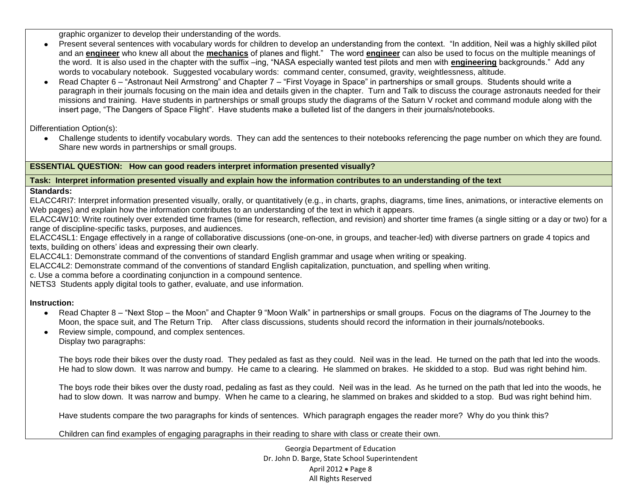graphic organizer to develop their understanding of the words.

- Present several sentences with vocabulary words for children to develop an understanding from the context. "In addition, Neil was a highly skilled pilot  $\bullet$ and an **engineer** who knew all about the **mechanics** of planes and flight." The word **engineer** can also be used to focus on the multiple meanings of the word. It is also used in the chapter with the suffix –ing, "NASA especially wanted test pilots and men with **engineering** backgrounds." Add any words to vocabulary notebook. Suggested vocabulary words: command center, consumed, gravity, weightlessness, altitude.
- $\bullet$ Read Chapter 6 – "Astronaut Neil Armstrong" and Chapter 7 – "First Voyage in Space" in partnerships or small groups. Students should write a paragraph in their journals focusing on the main idea and details given in the chapter. Turn and Talk to discuss the courage astronauts needed for their missions and training. Have students in partnerships or small groups study the diagrams of the Saturn V rocket and command module along with the insert page, "The Dangers of Space Flight". Have students make a bulleted list of the dangers in their journals/notebooks.

Differentiation Option(s):

Challenge students to identify vocabulary words. They can add the sentences to their notebooks referencing the page number on which they are found. Share new words in partnerships or small groups.

## **ESSENTIAL QUESTION: How can good readers interpret information presented visually?**

## **Task: Interpret information presented visually and explain how the information contributes to an understanding of the text**

## **Standards:**

ELACC4RI7: Interpret information presented visually, orally, or quantitatively (e.g., in charts, graphs, diagrams, time lines, animations, or interactive elements on Web pages) and explain how the information contributes to an understanding of the text in which it appears.

ELACC4W10: Write routinely over extended time frames (time for research, reflection, and revision) and shorter time frames (a single sitting or a day or two) for a range of discipline-specific tasks, purposes, and audiences.

ELACC4SL1: Engage effectively in a range of collaborative discussions (one-on-one, in groups, and teacher-led) with diverse partners on grade 4 topics and texts, building on others' ideas and expressing their own clearly.

ELACC4L1: Demonstrate command of the conventions of standard English grammar and usage when writing or speaking.

ELACC4L2: Demonstrate command of the conventions of standard English capitalization, punctuation, and spelling when writing.

c. Use a comma before a coordinating conjunction in a compound sentence.

NETS3 Students apply digital tools to gather, evaluate, and use information.

## **Instruction:**

- Read Chapter 8 "Next Stop the Moon" and Chapter 9 "Moon Walk" in partnerships or small groups. Focus on the diagrams of The Journey to the Moon, the space suit, and The Return Trip. After class discussions, students should record the information in their journals/notebooks.
- Review simple, compound, and complex sentences. Display two paragraphs:

The boys rode their bikes over the dusty road. They pedaled as fast as they could. Neil was in the lead. He turned on the path that led into the woods. He had to slow down. It was narrow and bumpy. He came to a clearing. He slammed on brakes. He skidded to a stop. Bud was right behind him.

The boys rode their bikes over the dusty road, pedaling as fast as they could. Neil was in the lead. As he turned on the path that led into the woods, he had to slow down. It was narrow and bumpy. When he came to a clearing, he slammed on brakes and skidded to a stop. Bud was right behind him.

Have students compare the two paragraphs for kinds of sentences. Which paragraph engages the reader more? Why do you think this?

Children can find examples of engaging paragraphs in their reading to share with class or create their own.

Georgia Department of Education Dr. John D. Barge, State School Superintendent April 2012  $\bullet$  Page 8 All Rights Reserved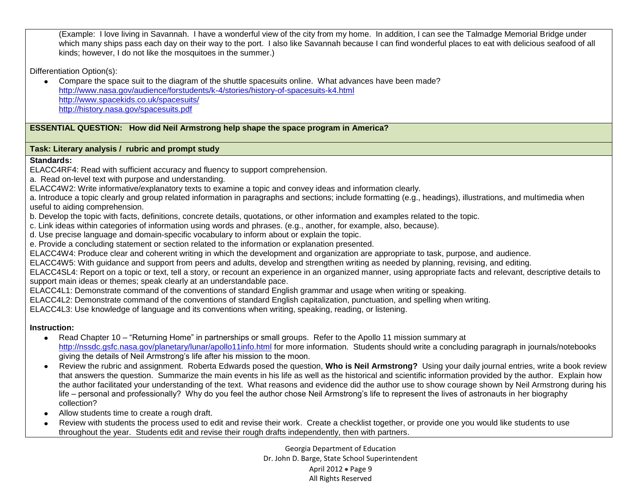(Example: I love living in Savannah. I have a wonderful view of the city from my home. In addition, I can see the Talmadge Memorial Bridge under which many ships pass each day on their way to the port. I also like Savannah because I can find wonderful places to eat with delicious seafood of all kinds; however, I do not like the mosquitoes in the summer.)

Differentiation Option(s):

Compare the space suit to the diagram of the shuttle spacesuits online. What advances have been made? <http://www.nasa.gov/audience/forstudents/k-4/stories/history-of-spacesuits-k4.html> <http://www.spacekids.co.uk/spacesuits/> <http://history.nasa.gov/spacesuits.pdf>

## **ESSENTIAL QUESTION: How did Neil Armstrong help shape the space program in America?**

## **Task: Literary analysis / rubric and prompt study**

## **Standards:**

ELACC4RF4: Read with sufficient accuracy and fluency to support comprehension.

a. Read on-level text with purpose and understanding.

ELACC4W2: Write informative/explanatory texts to examine a topic and convey ideas and information clearly.

a. Introduce a topic clearly and group related information in paragraphs and sections; include formatting (e.g., headings), illustrations, and multimedia when useful to aiding comprehension.

b. Develop the topic with facts, definitions, concrete details, quotations, or other information and examples related to the topic.

c. Link ideas within categories of information using words and phrases. (e.g., another, for example, also, because).

d. Use precise language and domain-specific vocabulary to inform about or explain the topic.

e. Provide a concluding statement or section related to the information or explanation presented.

ELACC4W4: Produce clear and coherent writing in which the development and organization are appropriate to task, purpose, and audience.

ELACC4W5: With guidance and support from peers and adults, develop and strengthen writing as needed by planning, revising, and editing.

ELACC4SL4: Report on a topic or text, tell a story, or recount an experience in an organized manner, using appropriate facts and relevant, descriptive details to support main ideas or themes; speak clearly at an understandable pace.

ELACC4L1: Demonstrate command of the conventions of standard English grammar and usage when writing or speaking.

ELACC4L2: Demonstrate command of the conventions of standard English capitalization, punctuation, and spelling when writing.

ELACC4L3: Use knowledge of language and its conventions when writing, speaking, reading, or listening.

# **Instruction:**

- Read Chapter 10 "Returning Home" in partnerships or small groups. Refer to the Apollo 11 mission summary at  $\bullet$ <http://nssdc.gsfc.nasa.gov/planetary/lunar/apollo11info.html> for more information. Students should write a concluding paragraph in journals/notebooks giving the details of Neil Armstrong's life after his mission to the moon.
- Review the rubric and assignment. Roberta Edwards posed the question, **Who is Neil Armstrong?** Using your daily journal entries, write a book review that answers the question. Summarize the main events in his life as well as the historical and scientific information provided by the author. Explain how the author facilitated your understanding of the text. What reasons and evidence did the author use to show courage shown by Neil Armstrong during his life – personal and professionally? Why do you feel the author chose Neil Armstrong's life to represent the lives of astronauts in her biography collection?
- Allow students time to create a rough draft.
- Review with students the process used to edit and revise their work. Create a checklist together, or provide one you would like students to use throughout the year. Students edit and revise their rough drafts independently, then with partners.

Georgia Department of Education Dr. John D. Barge, State School Superintendent April 2012  $\bullet$  Page 9 All Rights Reserved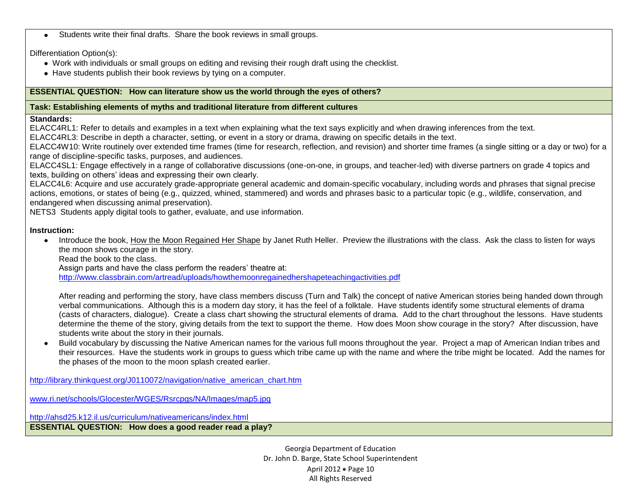• Students write their final drafts. Share the book reviews in small groups.

Differentiation Option(s):

- Work with individuals or small groups on editing and revising their rough draft using the checklist.
- Have students publish their book reviews by tying on a computer.

### **ESSENTIAL QUESTION: How can literature show us the world through the eyes of others?**

#### **Task: Establishing elements of myths and traditional literature from different cultures**

#### **Standards:**

ELACC4RL1: Refer to details and examples in a text when explaining what the text says explicitly and when drawing inferences from the text.

ELACC4RL3: Describe in depth a character, setting, or event in a story or drama, drawing on specific details in the text.

ELACC4W10: Write routinely over extended time frames (time for research, reflection, and revision) and shorter time frames (a single sitting or a day or two) for a range of discipline-specific tasks, purposes, and audiences.

ELACC4SL1: Engage effectively in a range of collaborative discussions (one-on-one, in groups, and teacher-led) with diverse partners on grade 4 topics and texts, building on others' ideas and expressing their own clearly.

ELACC4L6: Acquire and use accurately grade-appropriate general academic and domain-specific vocabulary, including words and phrases that signal precise actions, emotions, or states of being (e.g., quizzed, whined, stammered) and words and phrases basic to a particular topic (e.g., wildlife, conservation, and endangered when discussing animal preservation).

NETS3 Students apply digital tools to gather, evaluate, and use information.

### **Instruction:**

Introduce the book, How the Moon Regained Her Shape by Janet Ruth Heller. Preview the illustrations with the class. Ask the class to listen for ways the moon shows courage in the story.

Read the book to the class.

Assign parts and have the class perform the readers' theatre at:

<http://www.classbrain.com/artread/uploads/howthemoonregainedhershapeteachingactivities.pdf>

After reading and performing the story, have class members discuss (Turn and Talk) the concept of native American stories being handed down through verbal communications. Although this is a modern day story, it has the feel of a folktale. Have students identify some structural elements of drama (casts of characters, dialogue). Create a class chart showing the structural elements of drama. Add to the chart throughout the lessons. Have students determine the theme of the story, giving details from the text to support the theme. How does Moon show courage in the story? After discussion, have students write about the story in their journals.

Build vocabulary by discussing the Native American names for the various full moons throughout the year. Project a map of American Indian tribes and their resources. Have the students work in groups to guess which tribe came up with the name and where the tribe might be located. Add the names for the phases of the moon to the moon splash created earlier.

[http://library.thinkquest.org/J0110072/navigation/native\\_american\\_chart.htm](http://library.thinkquest.org/J0110072/navigation/native_american_chart.htm)

[www.ri.net/schools/Glocester/WGES/Rsrcpgs/NA/Images/map5.jpg](http://www.ri.net/schools/Glocester/WGES/Rsrcpgs/NA/Images/map5.jpg)

<http://ahsd25.k12.il.us/curriculum/nativeamericans/index.html>

**ESSENTIAL QUESTION: How does a good reader read a play?**

Georgia Department of Education Dr. John D. Barge, State School Superintendent April 2012 • Page 10 All Rights Reserved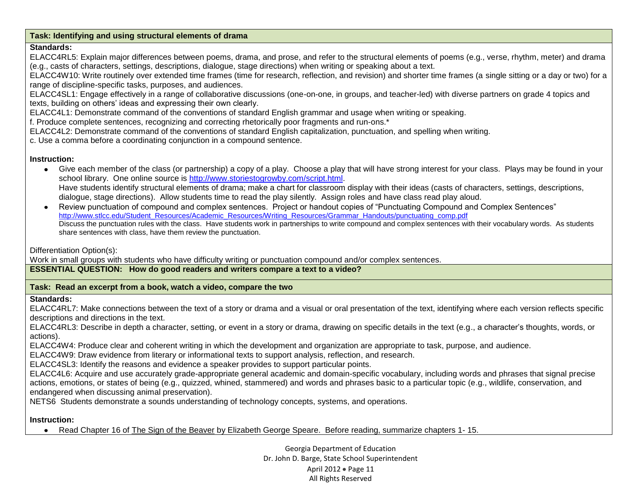### **Task: Identifying and using structural elements of drama**

### **Standards:**

ELACC4RL5: Explain major differences between poems, drama, and prose, and refer to the structural elements of poems (e.g., verse, rhythm, meter) and drama (e.g., casts of characters, settings, descriptions, dialogue, stage directions) when writing or speaking about a text.

ELACC4W10: Write routinely over extended time frames (time for research, reflection, and revision) and shorter time frames (a single sitting or a day or two) for a range of discipline-specific tasks, purposes, and audiences.

ELACC4SL1: Engage effectively in a range of collaborative discussions (one-on-one, in groups, and teacher-led) with diverse partners on grade 4 topics and texts, building on others' ideas and expressing their own clearly.

ELACC4L1: Demonstrate command of the conventions of standard English grammar and usage when writing or speaking.

f. Produce complete sentences, recognizing and correcting rhetorically poor fragments and run-ons.\*

ELACC4L2: Demonstrate command of the conventions of standard English capitalization, punctuation, and spelling when writing.

c. Use a comma before a coordinating conjunction in a compound sentence.

## **Instruction:**

- $\bullet$ Give each member of the class (or partnership) a copy of a play. Choose a play that will have strong interest for your class. Plays may be found in your school library. One online source is [http://www.storiestogrowby.com/script.html.](http://www.storiestogrowby.com/script.html) Have students identify structural elements of drama; make a chart for classroom display with their ideas (casts of characters, settings, descriptions, dialogue, stage directions). Allow students time to read the play silently. Assign roles and have class read play aloud.
- Review punctuation of compound and complex sentences. Project or handout copies of "Punctuating Compound and Complex Sentences"  $\bullet$ [http://www.stlcc.edu/Student\\_Resources/Academic\\_Resources/Writing\\_Resources/Grammar\\_Handouts/punctuating\\_comp.pdf](http://www.stlcc.edu/Student_Resources/Academic_Resources/Writing_Resources/Grammar_Handouts/punctuating_comp.pdf) Discuss the punctuation rules with the class. Have students work in partnerships to write compound and complex sentences with their vocabulary words. As students share sentences with class, have them review the punctuation.

Differentiation Option(s):

Work in small groups with students who have difficulty writing or punctuation compound and/or complex sentences.

**ESSENTIAL QUESTION: How do good readers and writers compare a text to a video?**

**Task: Read an excerpt from a book, watch a video, compare the two**

## **Standards:**

ELACC4RL7: Make connections between the text of a story or drama and a visual or oral presentation of the text, identifying where each version reflects specific descriptions and directions in the text.

ELACC4RL3: Describe in depth a character, setting, or event in a story or drama, drawing on specific details in the text (e.g., a character's thoughts, words, or actions).

ELACC4W4: Produce clear and coherent writing in which the development and organization are appropriate to task, purpose, and audience.

ELACC4W9: Draw evidence from literary or informational texts to support analysis, reflection, and research.

ELACC4SL3: Identify the reasons and evidence a speaker provides to support particular points.

ELACC4L6: Acquire and use accurately grade-appropriate general academic and domain-specific vocabulary, including words and phrases that signal precise actions, emotions, or states of being (e.g., quizzed, whined, stammered) and words and phrases basic to a particular topic (e.g., wildlife, conservation, and endangered when discussing animal preservation).

NETS6 Students demonstrate a sounds understanding of technology concepts, systems, and operations.

## **Instruction:**

Read Chapter 16 of The Sign of the Beaver by Elizabeth George Speare. Before reading, summarize chapters 1- 15.

Georgia Department of Education Dr. John D. Barge, State School Superintendent April 2012 • Page 11 All Rights Reserved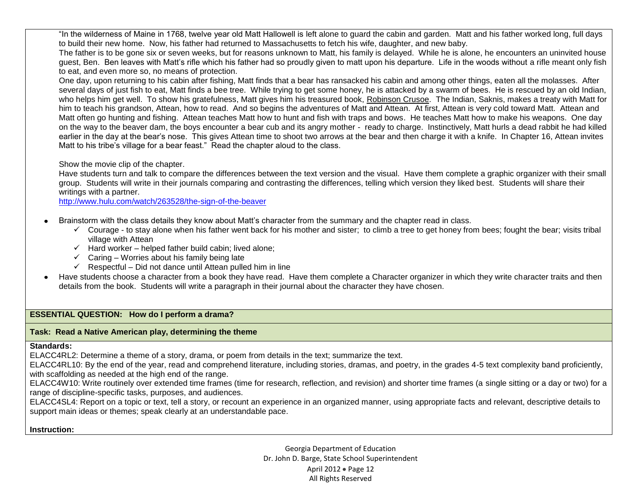"In the wilderness of Maine in 1768, twelve year old Matt Hallowell is left alone to guard the cabin and garden. Matt and his father worked long, full days to build their new home. Now, his father had returned to Massachusetts to fetch his wife, daughter, and new baby.

The father is to be gone six or seven weeks, but for reasons unknown to Matt, his family is delayed. While he is alone, he encounters an uninvited house guest, Ben. Ben leaves with Matt's rifle which his father had so proudly given to matt upon his departure. Life in the woods without a rifle meant only fish to eat, and even more so, no means of protection.

One day, upon returning to his cabin after fishing, Matt finds that a bear has ransacked his cabin and among other things, eaten all the molasses. After several days of just fish to eat, Matt finds a bee tree. While trying to get some honey, he is attacked by a swarm of bees. He is rescued by an old Indian, who helps him get well. To show his gratefulness, Matt gives him his treasured book, Robinson Crusoe. The Indian, Saknis, makes a treaty with Matt for him to teach his grandson, Attean, how to read. And so begins the adventures of Matt and Attean. At first, Attean is very cold toward Matt. Attean and Matt often go hunting and fishing. Attean teaches Matt how to hunt and fish with traps and bows. He teaches Matt how to make his weapons. One day on the way to the beaver dam, the boys encounter a bear cub and its angry mother - ready to charge. Instinctively, Matt hurls a dead rabbit he had killed earlier in the day at the bear's nose. This gives Attean time to shoot two arrows at the bear and then charge it with a knife. In Chapter 16, Attean invites Matt to his tribe's village for a bear feast." Read the chapter aloud to the class.

Show the movie clip of the chapter.

Have students turn and talk to compare the differences between the text version and the visual. Have them complete a graphic organizer with their small group. Students will write in their journals comparing and contrasting the differences, telling which version they liked best. Students will share their writings with a partner.

<http://www.hulu.com/watch/263528/the-sign-of-the-beaver>

- Brainstorm with the class details they know about Matt's character from the summary and the chapter read in class.
	- $\checkmark$  Courage to stay alone when his father went back for his mother and sister; to climb a tree to get honey from bees; fought the bear; visits tribal village with Attean
	- $\checkmark$  Hard worker helped father build cabin; lived alone;
	- $\checkmark$  Caring Worries about his family being late
	- $\checkmark$  Respectful Did not dance until Attean pulled him in line
- Have students choose a character from a book they have read. Have them complete a Character organizer in which they write character traits and then details from the book. Students will write a paragraph in their journal about the character they have chosen.

### **ESSENTIAL QUESTION: How do I perform a drama?**

#### **Task: Read a Native American play, determining the theme**

#### **Standards:**

ELACC4RL2: Determine a theme of a story, drama, or poem from details in the text; summarize the text.

ELACC4RL10: By the end of the year, read and comprehend literature, including stories, dramas, and poetry, in the grades 4-5 text complexity band proficiently, with scaffolding as needed at the high end of the range.

ELACC4W10: Write routinely over extended time frames (time for research, reflection, and revision) and shorter time frames (a single sitting or a day or two) for a range of discipline-specific tasks, purposes, and audiences.

ELACC4SL4: Report on a topic or text, tell a story, or recount an experience in an organized manner, using appropriate facts and relevant, descriptive details to support main ideas or themes; speak clearly at an understandable pace.

**Instruction:**

Georgia Department of Education Dr. John D. Barge, State School Superintendent April 2012 • Page 12 All Rights Reserved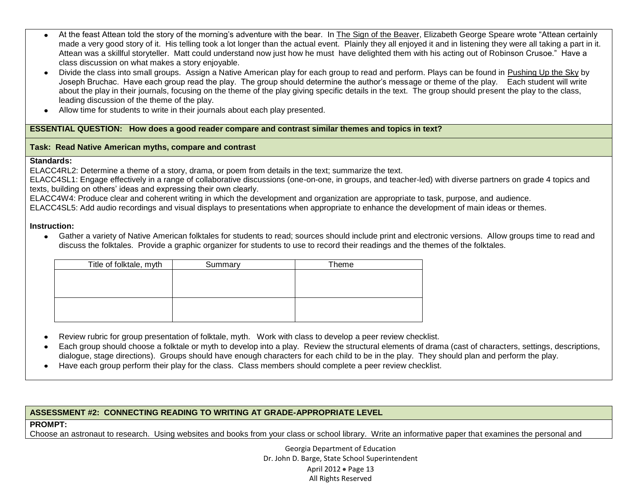- At the feast Attean told the story of the morning's adventure with the bear. In The Sign of the Beaver, Elizabeth George Speare wrote "Attean certainly made a very good story of it. His telling took a lot longer than the actual event. Plainly they all enjoyed it and in listening they were all taking a part in it. Attean was a skillful storyteller. Matt could understand now just how he must have delighted them with his acting out of Robinson Crusoe." Have a class discussion on what makes a story enjoyable.
- Divide the class into small groups. Assign a Native American play for each group to read and perform. Plays can be found in Pushing Up the Sky by Joseph Bruchac. Have each group read the play. The group should determine the author's message or theme of the play. Each student will write about the play in their journals, focusing on the theme of the play giving specific details in the text. The group should present the play to the class, leading discussion of the theme of the play.
- Allow time for students to write in their journals about each play presented.

### **ESSENTIAL QUESTION: How does a good reader compare and contrast similar themes and topics in text?**

### **Task: Read Native American myths, compare and contrast**

### **Standards:**

ELACC4RL2: Determine a theme of a story, drama, or poem from details in the text; summarize the text.

ELACC4SL1: Engage effectively in a range of collaborative discussions (one-on-one, in groups, and teacher-led) with diverse partners on grade 4 topics and texts, building on others' ideas and expressing their own clearly.

ELACC4W4: Produce clear and coherent writing in which the development and organization are appropriate to task, purpose, and audience.

ELACC4SL5: Add audio recordings and visual displays to presentations when appropriate to enhance the development of main ideas or themes.

#### **Instruction:**

 $\bullet$ Gather a variety of Native American folktales for students to read; sources should include print and electronic versions. Allow groups time to read and discuss the folktales. Provide a graphic organizer for students to use to record their readings and the themes of the folktales.

| Title of folktale, myth | Summary | Theme |
|-------------------------|---------|-------|
|                         |         |       |
|                         |         |       |
|                         |         |       |
|                         |         |       |
|                         |         |       |
|                         |         |       |

- Review rubric for group presentation of folktale, myth. Work with class to develop a peer review checklist.
- Each group should choose a folktale or myth to develop into a play. Review the structural elements of drama (cast of characters, settings, descriptions,  $\bullet$ dialogue, stage directions). Groups should have enough characters for each child to be in the play. They should plan and perform the play.
- Have each group perform their play for the class. Class members should complete a peer review checklist.  $\bullet$

## **ASSESSMENT #2: CONNECTING READING TO WRITING AT GRADE-APPROPRIATE LEVEL**

### **PROMPT:**

Choose an astronaut to research. Using websites and books from your class or school library. Write an informative paper that examines the personal and

Georgia Department of Education Dr. John D. Barge, State School Superintendent April 2012 • Page 13 All Rights Reserved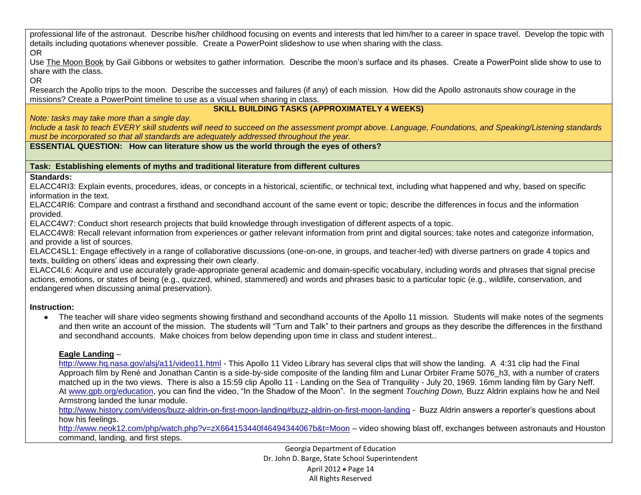professional life of the astronaut. Describe his/her childhood focusing on events and interests that led him/her to a career in space travel. Develop the topic with details including quotations whenever possible. Create a PowerPoint slideshow to use when sharing with the class. OR

Use The Moon Book by Gail Gibbons or websites to gather information.Describe the moon's surface and its phases. Create a PowerPoint slide show to use to share with the class.

OR

Research the Apollo trips to the moon. Describe the successes and failures (if any) of each mission. How did the Apollo astronauts show courage in the missions? Create a PowerPoint timeline to use as a visual when sharing in class.

## **SKILL BUILDING TASKS (APPROXIMATELY 4 WEEKS)**

*Note: tasks may take more than a single day.* 

*Include a task to teach EVERY skill students will need to succeed on the assessment prompt above. Language, Foundations, and Speaking/Listening standards must be incorporated so that all standards are adequately addressed throughout the year.* 

# **ESSENTIAL QUESTION: How can literature show us the world through the eyes of others?**

## **Task: Establishing elements of myths and traditional literature from different cultures**

**Standards:**

ELACC4RI3: Explain events, procedures, ideas, or concepts in a historical, scientific, or technical text, including what happened and why, based on specific information in the text.

ELACC4RI6: Compare and contrast a firsthand and secondhand account of the same event or topic; describe the differences in focus and the information provided.

ELACC4W7: Conduct short research projects that build knowledge through investigation of different aspects of a topic.

ELACC4W8: Recall relevant information from experiences or gather relevant information from print and digital sources; take notes and categorize information, and provide a list of sources.

ELACC4SL1: Engage effectively in a range of collaborative discussions (one-on-one, in groups, and teacher-led) with diverse partners on grade 4 topics and texts, building on others' ideas and expressing their own clearly.

ELACC4L6: Acquire and use accurately grade-appropriate general academic and domain-specific vocabulary, including words and phrases that signal precise actions, emotions, or states of being (e.g., quizzed, whined, stammered) and words and phrases basic to a particular topic (e.g., wildlife, conservation, and endangered when discussing animal preservation).

## **Instruction:**

The teacher will share video segments showing firsthand and secondhand accounts of the Apollo 11 mission. Students will make notes of the segments and then write an account of the mission. The students will "Turn and Talk" to their partners and groups as they describe the differences in the firsthand and secondhand accounts. Make choices from below depending upon time in class and student interest..

# **Eagle Landing** –

<http://www.hq.nasa.gov/alsj/a11/video11.html> - This Apollo 11 Video Library has several clips that will show the landing. A 4:31 clip had the Final Approach film by René and Jonathan Cantin is a side-by-side composite of the landing film and Lunar Orbiter Frame 5076\_h3, with a number of craters matched up in the two views. There is also a 15:59 clip Apollo 11 - Landing on the Sea of Tranquility - July 20, 1969. 16mm landing film by Gary Neff. At [www.gpb.org/education,](http://www.gpb.org/education) you can find the video, "In the Shadow of the Moon". In the segment *Touching Down,* Buzz Aldrin explains how he and Neil Armstrong landed the lunar module.

<http://www.history.com/videos/buzz-aldrin-on-first-moon-landing#buzz-aldrin-on-first-moon-landing> - Buzz Aldrin answers a reporter's questions about how his feelings.

<http://www.neok12.com/php/watch.php?v=zX664153440f46494344067b&t=Moon> – video showing blast off, exchanges between astronauts and Houston command, landing, and first steps.

> Georgia Department of Education Dr. John D. Barge, State School Superintendent April 2012 • Page 14 All Rights Reserved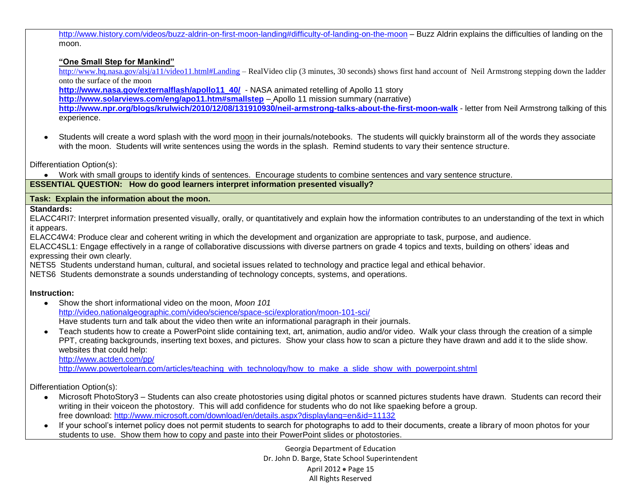<http://www.history.com/videos/buzz-aldrin-on-first-moon-landing#difficulty-of-landing-on-the-moon> – Buzz Aldrin explains the difficulties of landing on the moon.

### **"One Small Step for Mankind"**

<http://www.hq.nasa.gov/alsj/a11/video11.html#Landing> – RealVideo clip (3 minutes, 30 seconds) shows first hand account of Neil Armstrong stepping down the ladder onto the surface of the moon

**[http://www.nasa.gov/externalflash/apollo11\\_40/](http://www.nasa.gov/externalflash/apollo11_40/)** - NASA animated retelling of Apollo 11 story

**<http://www.solarviews.com/eng/apo11.htm#smallstep>** – Apollo 11 mission summary (narrative)

**<http://www.npr.org/blogs/krulwich/2010/12/08/131910930/neil-armstrong-talks-about-the-first-moon-walk>** - letter from Neil Armstrong talking of this experience.

Students will create a word splash with the word moon in their journals/notebooks. The students will quickly brainstorm all of the words they associate with the moon. Students will write sentences using the words in the splash. Remind students to vary their sentence structure.

Differentiation Option(s):

Work with small groups to identify kinds of sentences. Encourage students to combine sentences and vary sentence structure.

**ESSENTIAL QUESTION: How do good learners interpret information presented visually?**

### **Task: Explain the information about the moon.**

**Standards:**

ELACC4RI7: Interpret information presented visually, orally, or quantitatively and explain how the information contributes to an understanding of the text in which it appears.

ELACC4W4: Produce clear and coherent writing in which the development and organization are appropriate to task, purpose, and audience.

ELACC4SL1: Engage effectively in a range of collaborative discussions with diverse partners on grade 4 topics and texts, building on others' ideas and expressing their own clearly.

NETS5 Students understand human, cultural, and societal issues related to technology and practice legal and ethical behavior.

NETS6 Students demonstrate a sounds understanding of technology concepts, systems, and operations.

## **Instruction:**

- Show the short informational video on the moon, *Moon 101*  $\bullet$ <http://video.nationalgeographic.com/video/science/space-sci/exploration/moon-101-sci/> Have students turn and talk about the video then write an informational paragraph in their journals.
- Teach students how to create a PowerPoint slide containing text, art, animation, audio and/or video. Walk your class through the creation of a simple PPT, creating backgrounds, inserting text boxes, and pictures. Show your class how to scan a picture they have drawn and add it to the slide show. websites that could help:

<http://www.actden.com/pp/>

[http://www.powertolearn.com/articles/teaching\\_with\\_technology/how\\_to\\_make\\_a\\_slide\\_show\\_with\\_powerpoint.shtml](http://www.powertolearn.com/articles/teaching_with_technology/how_to_make_a_slide_show_with_powerpoint.shtml)

Differentiation Option(s):

- Microsoft PhotoStory3 Students can also create photostories using digital photos or scanned pictures students have drawn. Students can record their writing in their voiceon the photostory. This will add confidence for students who do not like spaeking before a group. free download:<http://www.microsoft.com/download/en/details.aspx?displaylang=en&id=11132>
- If your school's internet policy does not permit students to search for photographs to add to their documents, create a library of moon photos for your students to use. Show them how to copy and paste into their PowerPoint slides or photostories.

Georgia Department of Education Dr. John D. Barge, State School Superintendent April 2012 • Page 15 All Rights Reserved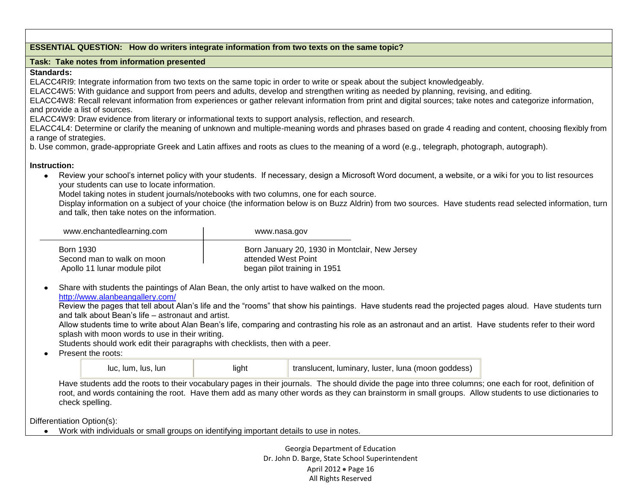**ESSENTIAL QUESTION: How do writers integrate information from two texts on the same topic?**

#### **Task: Take notes from information presented**

### **Standards:**

ELACC4RI9: Integrate information from two texts on the same topic in order to write or speak about the subject knowledgeably.

ELACC4W5: With guidance and support from peers and adults, develop and strengthen writing as needed by planning, revising, and editing.

ELACC4W8: Recall relevant information from experiences or gather relevant information from print and digital sources; take notes and categorize information, and provide a list of sources.

ELACC4W9: Draw evidence from literary or informational texts to support analysis, reflection, and research.

ELACC4L4: Determine or clarify the meaning of unknown and multiple-meaning words and phrases based on grade 4 reading and content, choosing flexibly from a range of strategies.

b. Use common, grade-appropriate Greek and Latin affixes and roots as clues to the meaning of a word (e.g., telegraph, photograph, autograph).

#### **Instruction:**

Review your school's internet policy with your students. If necessary, design a Microsoft Word document, a website, or a wiki for you to list resources  $\bullet$ your students can use to locate information.

Model taking notes in student journals/notebooks with two columns, one for each source.

Display information on a subject of your choice (the information below is on Buzz Aldrin) from two sources. Have students read selected information, turn and talk, then take notes on the information.

| www.enchantedlearning.com    | www.nasa.gov                                   |
|------------------------------|------------------------------------------------|
| <b>Born 1930</b>             | Born January 20, 1930 in Montclair, New Jersey |
| Second man to walk on moon   | attended West Point                            |
| Apollo 11 lunar module pilot | began pilot training in 1951                   |

 $\bullet$ Share with students the paintings of Alan Bean, the only artist to have walked on the moon.

## <http://www.alanbeangallery.com/>

Review the pages that tell about Alan's life and the "rooms" that show his paintings. Have students read the projected pages aloud. Have students turn and talk about Bean's life – astronaut and artist.

Allow students time to write about Alan Bean's life, comparing and contrasting his role as an astronaut and an artist. Have students refer to their word splash with moon words to use in their writing.

Students should work edit their paragraphs with checklists, then with a peer.

Present the roots:

| luc, lum, lus, lun | liaht | translucent, luminary, luster, luna (moon goddess) |
|--------------------|-------|----------------------------------------------------|
|--------------------|-------|----------------------------------------------------|

Have students add the roots to their vocabulary pages in their journals. The should divide the page into three columns; one each for root, definition of root, and words containing the root. Have them add as many other words as they can brainstorm in small groups. Allow students to use dictionaries to check spelling.

Differentiation Option(s):

Work with individuals or small groups on identifying important details to use in notes.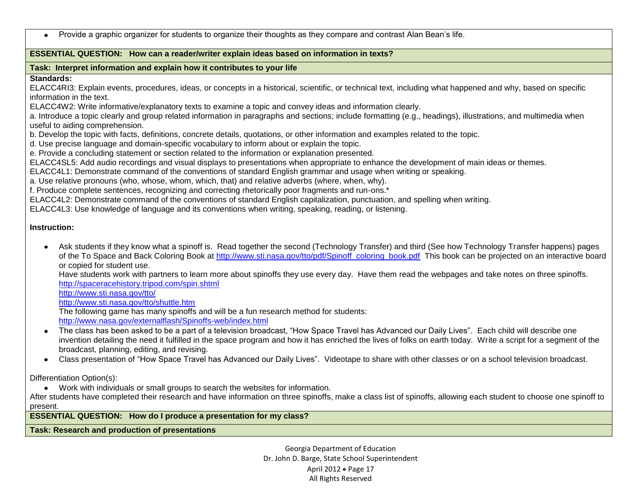Provide a graphic organizer for students to organize their thoughts as they compare and contrast Alan Bean's life.

## **ESSENTIAL QUESTION: How can a reader/writer explain ideas based on information in texts?**

### **Task: Interpret information and explain how it contributes to your life**

### **Standards:**

ELACC4RI3: Explain events, procedures, ideas, or concepts in a historical, scientific, or technical text, including what happened and why, based on specific information in the text.

ELACC4W2: Write informative/explanatory texts to examine a topic and convey ideas and information clearly.

a. Introduce a topic clearly and group related information in paragraphs and sections; include formatting (e.g., headings), illustrations, and multimedia when useful to aiding comprehension.

b. Develop the topic with facts, definitions, concrete details, quotations, or other information and examples related to the topic.

d. Use precise language and domain-specific vocabulary to inform about or explain the topic.

e. Provide a concluding statement or section related to the information or explanation presented.

ELACC4SL5: Add audio recordings and visual displays to presentations when appropriate to enhance the development of main ideas or themes.

ELACC4L1: Demonstrate command of the conventions of standard English grammar and usage when writing or speaking.

a. Use relative pronouns (who, whose, whom, which, that) and relative adverbs (where, when, why).

f. Produce complete sentences, recognizing and correcting rhetorically poor fragments and run-ons.\*

ELACC4L2: Demonstrate command of the conventions of standard English capitalization, punctuation, and spelling when writing.

ELACC4L3: Use knowledge of language and its conventions when writing, speaking, reading, or listening.

## **Instruction:**

Ask students if they know what a spinoff is. Read together the second (Technology Transfer) and third (See how Technology Transfer happens) pages of the To Space and Back Coloring Book at [http://www.sti.nasa.gov/tto/pdf/Spinoff\\_coloring\\_book.pdf](http://www.sti.nasa.gov/tto/pdf/Spinoff_coloring_book.pdf) This book can be projected on an interactive board or copied for student use.

Have students work with partners to learn more about spinoffs they use every day. Have them read the webpages and take notes on three spinoffs. <http://spaceracehistory.tripod.com/spin.shtml>

<http://www.sti.nasa.gov/tto/>

<http://www.sti.nasa.gov/tto/shuttle.htm>

The following game has many spinoffs and will be a fun research method for students:

<http://www.nasa.gov/externalflash/Spinoffs-web/index.html>

- The class has been asked to be a part of a television broadcast, "How Space Travel has Advanced our Daily Lives". Each child will describe one invention detailing the need it fulfilled in the space program and how it has enriched the lives of folks on earth today. Write a script for a segment of the broadcast, planning, editing, and revising.
- Class presentation of "How Space Travel has Advanced our Daily Lives". Videotape to share with other classes or on a school television broadcast.  $\bullet$

Differentiation Option(s):

Work with individuals or small groups to search the websites for information.

After students have completed their research and have information on three spinoffs, make a class list of spinoffs, allowing each student to choose one spinoff to present.

**ESSENTIAL QUESTION: How do I produce a presentation for my class?**

**Task: Research and production of presentations**

Georgia Department of Education Dr. John D. Barge, State School Superintendent April 2012 • Page 17 All Rights Reserved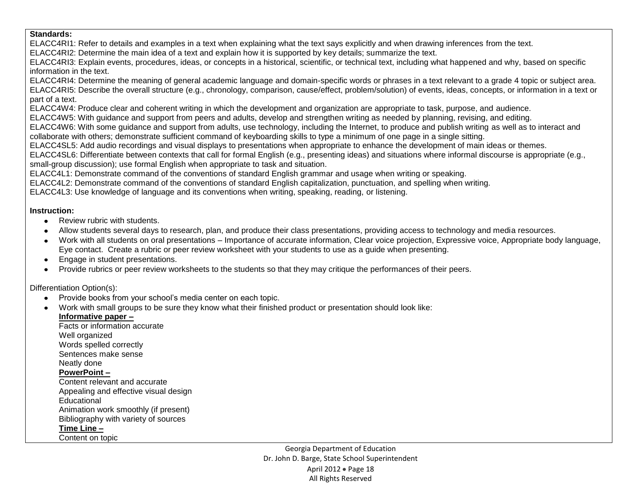### **Standards:**

ELACC4RI1: Refer to details and examples in a text when explaining what the text says explicitly and when drawing inferences from the text.

ELACC4RI2: Determine the main idea of a text and explain how it is supported by key details; summarize the text.

ELACC4RI3: Explain events, procedures, ideas, or concepts in a historical, scientific, or technical text, including what happened and why, based on specific information in the text.

ELACC4RI4: Determine the meaning of general academic language and domain-specific words or phrases in a text relevant to a grade 4 topic or subject area. ELACC4RI5: Describe the overall structure (e.g., chronology, comparison, cause/effect, problem/solution) of events, ideas, concepts, or information in a text or part of a text.

ELACC4W4: Produce clear and coherent writing in which the development and organization are appropriate to task, purpose, and audience.

ELACC4W5: With guidance and support from peers and adults, develop and strengthen writing as needed by planning, revising, and editing.

ELACC4W6: With some guidance and support from adults, use technology, including the Internet, to produce and publish writing as well as to interact and collaborate with others; demonstrate sufficient command of keyboarding skills to type a minimum of one page in a single sitting.

ELACC4SL5: Add audio recordings and visual displays to presentations when appropriate to enhance the development of main ideas or themes.

ELACC4SL6: Differentiate between contexts that call for formal English (e.g., presenting ideas) and situations where informal discourse is appropriate (e.g., small-group discussion); use formal English when appropriate to task and situation.

ELACC4L1: Demonstrate command of the conventions of standard English grammar and usage when writing or speaking.

ELACC4L2: Demonstrate command of the conventions of standard English capitalization, punctuation, and spelling when writing.

ELACC4L3: Use knowledge of language and its conventions when writing, speaking, reading, or listening.

## **Instruction:**

- Review rubric with students.
- Allow students several days to research, plan, and produce their class presentations, providing access to technology and media resources.
- Work with all students on oral presentations Importance of accurate information, Clear voice projection, Expressive voice, Appropriate body language, Eye contact. Create a rubric or peer review worksheet with your students to use as a guide when presenting.
- Engage in student presentations.
- Provide rubrics or peer review worksheets to the students so that they may critique the performances of their peers.

Differentiation Option(s):

- Provide books from your school's media center on each topic.
- Work with small groups to be sure they know what their finished product or presentation should look like:
- **Informative paper –** Facts or information accurate Well organized

Words spelled correctly Sentences make sense

Neatly done

## **PowerPoint –**

Content relevant and accurate Appealing and effective visual design **Educational** Animation work smoothly (if present) Bibliography with variety of sources **Time Line –** Content on topic

> Georgia Department of Education Dr. John D. Barge, State School Superintendent April 2012 • Page 18 All Rights Reserved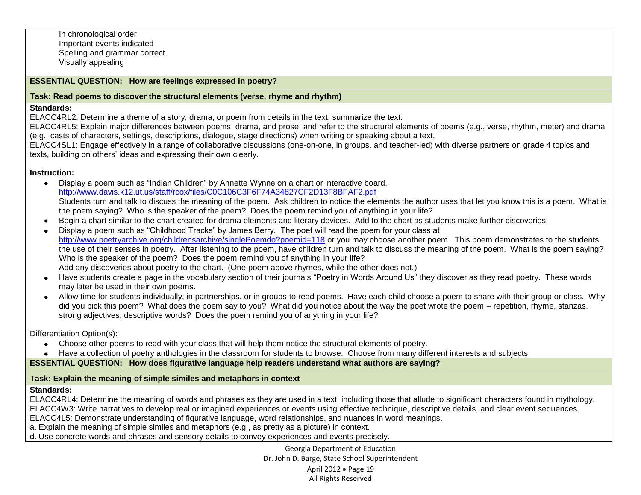In chronological order Important events indicated Spelling and grammar correct Visually appealing

### **ESSENTIAL QUESTION: How are feelings expressed in poetry?**

#### **Task: Read poems to discover the structural elements (verse, rhyme and rhythm)**

### **Standards:**

ELACC4RL2: Determine a theme of a story, drama, or poem from details in the text; summarize the text.

ELACC4RL5: Explain major differences between poems, drama, and prose, and refer to the structural elements of poems (e.g., verse, rhythm, meter) and drama (e.g., casts of characters, settings, descriptions, dialogue, stage directions) when writing or speaking about a text.

ELACC4SL1: Engage effectively in a range of collaborative discussions (one-on-one, in groups, and teacher-led) with diverse partners on grade 4 topics and texts, building on others' ideas and expressing their own clearly.

### **Instruction:**

- Display a poem such as "Indian Children" by Annette Wynne on a chart or interactive board.  $\bullet$ <http://www.davis.k12.ut.us/staff/rcox/files/C0C106C3F6F74A34827CF2D13F8BFAF2.pdf> Students turn and talk to discuss the meaning of the poem. Ask children to notice the elements the author uses that let you know this is a poem. What is the poem saying? Who is the speaker of the poem? Does the poem remind you of anything in your life?
- Begin a chart similar to the chart created for drama elements and literary devices. Add to the chart as students make further discoveries.
- Display a poem such as "Childhood Tracks" by James Berry. The poet will read the poem for your class at <http://www.poetryarchive.org/childrensarchive/singlePoemdo?poemid=118> or you may choose another poem. This poem demonstrates to the students the use of their senses in poetry. After listening to the poem, have children turn and talk to discuss the meaning of the poem. What is the poem saying? Who is the speaker of the poem? Does the poem remind you of anything in your life? Add any discoveries about poetry to the chart. (One poem above rhymes, while the other does not.)
- Have students create a page in the vocabulary section of their journals "Poetry in Words Around Us" they discover as they read poetry. These words may later be used in their own poems.
- Allow time for students individually, in partnerships, or in groups to read poems. Have each child choose a poem to share with their group or class. Why did you pick this poem? What does the poem say to you? What did you notice about the way the poet wrote the poem – repetition, rhyme, stanzas, strong adjectives, descriptive words? Does the poem remind you of anything in your life?

Differentiation Option(s):

- Choose other poems to read with your class that will help them notice the structural elements of poetry.
- Have a collection of poetry anthologies in the classroom for students to browse. Choose from many different interests and subjects.

**ESSENTIAL QUESTION: How does figurative language help readers understand what authors are saying?**

## **Task: Explain the meaning of simple similes and metaphors in context**

## **Standards:**

ELACC4RL4: Determine the meaning of words and phrases as they are used in a text, including those that allude to significant characters found in mythology. ELACC4W3: Write narratives to develop real or imagined experiences or events using effective technique, descriptive details, and clear event sequences.

ELACC4L5: Demonstrate understanding of figurative language, word relationships, and nuances in word meanings.

a. Explain the meaning of simple similes and metaphors (e.g., as pretty as a picture) in context.

d. Use concrete words and phrases and sensory details to convey experiences and events precisely.

Georgia Department of Education Dr. John D. Barge, State School Superintendent April 2012 • Page 19 All Rights Reserved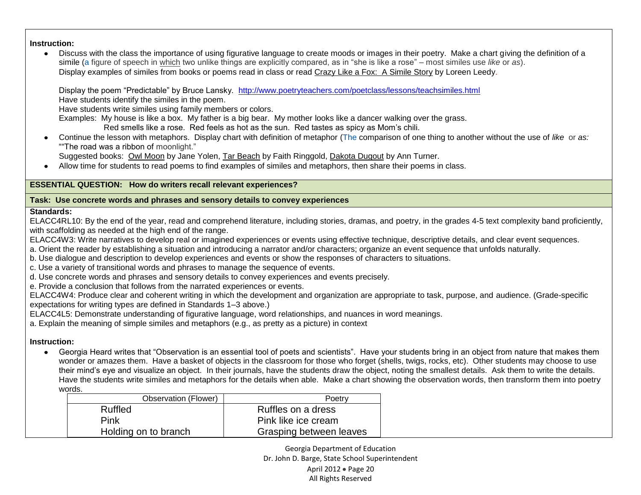### **Instruction:**

 $\bullet$ Discuss with the class the importance of using figurative language to create moods or images in their poetry. Make a chart giving the definition of a simile (a figure of speech in [which](http://dictionary.reference.com/browse/which) two unlike things are explicitly compared, as in "she is like a rose" – most similes use *like* or *as*). Display examples of similes from books or poems read in class or read Crazy Like a Fox: A Simile Story by Loreen Leedy.

Display the poem "Predictable" by Bruce Lansky. <http://www.poetryteachers.com/poetclass/lessons/teachsimiles.html> Have students identify the similes in the poem.

Have students write similes using family members or colors.

Examples: My house is like a box. My father is a big bear. My mother looks like a dancer walking over the grass.

Red smells like a rose. Red feels as hot as the sun. Red tastes as spicy as Mom's chili.

Continue the lesson with metaphors. Display chart with definition of metaphor (The comparison of one thing to another without the use of *like* or *as:* ""The road was a ribbon of moonlight."

Suggested books: Owl Moon by Jane Yolen, Tar Beach by Faith Ringgold, Dakota Dugout by Ann Turner.

• Allow time for students to read poems to find examples of similes and metaphors, then share their poems in class.

## **ESSENTIAL QUESTION: How do writers recall relevant experiences?**

### **Task: Use concrete words and phrases and sensory details to convey experiences**

## **Standards:**

ELACC4RL10: By the end of the year, read and comprehend literature, including stories, dramas, and poetry, in the grades 4-5 text complexity band proficiently, with scaffolding as needed at the high end of the range.

- ELACC4W3: Write narratives to develop real or imagined experiences or events using effective technique, descriptive details, and clear event sequences.
- a. Orient the reader by establishing a situation and introducing a narrator and/or characters; organize an event sequence that unfolds naturally.
- b. Use dialogue and description to develop experiences and events or show the responses of characters to situations.
- c. Use a variety of transitional words and phrases to manage the sequence of events.
- d. Use concrete words and phrases and sensory details to convey experiences and events precisely.
- e. Provide a conclusion that follows from the narrated experiences or events.

ELACC4W4: Produce clear and coherent writing in which the development and organization are appropriate to task, purpose, and audience. (Grade-specific expectations for writing types are defined in Standards 1–3 above.)

- ELACC4L5: Demonstrate understanding of figurative language, word relationships, and nuances in word meanings.
- a. Explain the meaning of simple similes and metaphors (e.g., as pretty as a picture) in context

## **Instruction:**

Georgia Heard writes that "Observation is an essential tool of poets and scientists". Have your students bring in an object from nature that makes them wonder or amazes them. Have a basket of objects in the classroom for those who forget (shells, twigs, rocks, etc). Other students may choose to use their mind's eye and visualize an object. In their journals, have the students draw the object, noting the smallest details. Ask them to write the details. Have the students write similes and metaphors for the details when able. Make a chart showing the observation words, then transform them into poetry words.

| <b>Observation (Flower)</b> | Poetry                  |
|-----------------------------|-------------------------|
| Ruffled                     | Ruffles on a dress      |
| Pink                        | Pink like ice cream     |
| Holding on to branch        | Grasping between leaves |

Georgia Department of Education Dr. John D. Barge, State School Superintendent April 2012 • Page 20 All Rights Reserved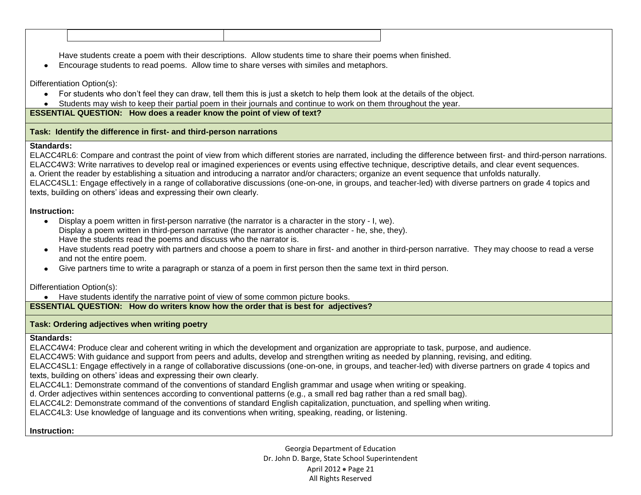Have students create a poem with their descriptions. Allow students time to share their poems when finished.

Encourage students to read poems. Allow time to share verses with similes and metaphors.  $\bullet$ 

Differentiation Option(s):

- For students who don't feel they can draw, tell them this is just a sketch to help them look at the details of the object.
- Students may wish to keep their partial poem in their journals and continue to work on them throughout the year.

**ESSENTIAL QUESTION: How does a reader know the point of view of text?**

## **Task: Identify the difference in first- and third-person narrations**

## **Standards:**

ELACC4RL6: Compare and contrast the point of view from which different stories are narrated, including the difference between first- and third-person narrations. ELACC4W3: Write narratives to develop real or imagined experiences or events using effective technique, descriptive details, and clear event sequences. a. Orient the reader by establishing a situation and introducing a narrator and/or characters; organize an event sequence that unfolds naturally. ELACC4SL1: Engage effectively in a range of collaborative discussions (one-on-one, in groups, and teacher-led) with diverse partners on grade 4 topics and texts, building on others' ideas and expressing their own clearly.

## **Instruction:**

- Display a poem written in first-person narrative (the narrator is a character in the story I, we). Display a poem written in third-person narrative (the narrator is another character - he, she, they). Have the students read the poems and discuss who the narrator is.
- Have students read poetry with partners and choose a poem to share in first- and another in third-person narrative. They may choose to read a verse and not the entire poem.
- Give partners time to write a paragraph or stanza of a poem in first person then the same text in third person.

Differentiation Option(s):

Have students identify the narrative point of view of some common picture books.

**ESSENTIAL QUESTION: How do writers know how the order that is best for adjectives?**

# **Task: Ordering adjectives when writing poetry**

## **Standards:**

ELACC4W4: Produce clear and coherent writing in which the development and organization are appropriate to task, purpose, and audience.

ELACC4W5: With guidance and support from peers and adults, develop and strengthen writing as needed by planning, revising, and editing.

ELACC4SL1: Engage effectively in a range of collaborative discussions (one-on-one, in groups, and teacher-led) with diverse partners on grade 4 topics and texts, building on others' ideas and expressing their own clearly.

ELACC4L1: Demonstrate command of the conventions of standard English grammar and usage when writing or speaking.

d. Order adjectives within sentences according to conventional patterns (e.g., a small red bag rather than a red small bag).

ELACC4L2: Demonstrate command of the conventions of standard English capitalization, punctuation, and spelling when writing.

ELACC4L3: Use knowledge of language and its conventions when writing, speaking, reading, or listening.

# **Instruction:**

Georgia Department of Education Dr. John D. Barge, State School Superintendent April 2012 • Page 21 All Rights Reserved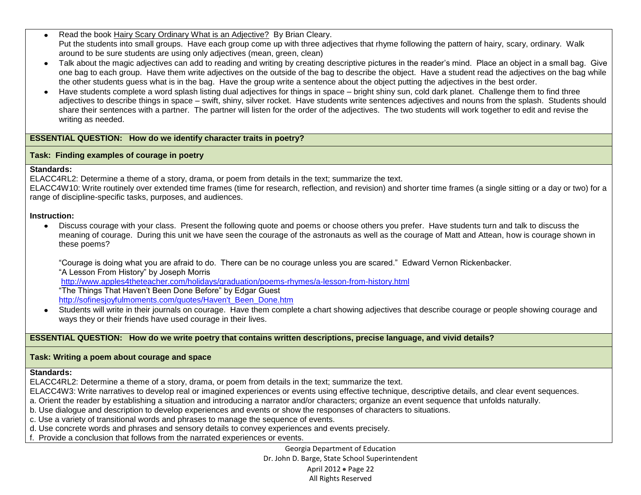- Read the book Hairy Scary Ordinary What is an Adjective? By Brian Cleary. Put the students into small groups. Have each group come up with three adjectives that rhyme following the pattern of hairy, scary, ordinary. Walk around to be sure students are using only adjectives (mean, green, clean)
- Talk about the magic adjectives can add to reading and writing by creating descriptive pictures in the reader's mind. Place an object in a small bag. Give one bag to each group. Have them write adjectives on the outside of the bag to describe the object. Have a student read the adjectives on the bag while the other students guess what is in the bag. Have the group write a sentence about the object putting the adjectives in the best order.
- Have students complete a word splash listing dual adjectives for things in space bright shiny sun, cold dark planet. Challenge them to find three  $\bullet$ adjectives to describe things in space – swift, shiny, silver rocket. Have students write sentences adjectives and nouns from the splash. Students should share their sentences with a partner. The partner will listen for the order of the adjectives. The two students will work together to edit and revise the writing as needed.

### **ESSENTIAL QUESTION: How do we identify character traits in poetry?**

## **Task: Finding examples of courage in poetry**

## **Standards:**

ELACC4RL2: Determine a theme of a story, drama, or poem from details in the text; summarize the text.

ELACC4W10: Write routinely over extended time frames (time for research, reflection, and revision) and shorter time frames (a single sitting or a day or two) for a range of discipline-specific tasks, purposes, and audiences.

## **Instruction:**

Discuss courage with your class. Present the following quote and poems or choose others you prefer. Have students turn and talk to discuss the  $\bullet$ meaning of courage. During this unit we have seen the courage of the astronauts as well as the courage of Matt and Attean, how is courage shown in these poems?

"Courage is doing what you are afraid to do. There can be no courage unless you are scared." Edward Vernon Rickenbacker. "A Lesson From History" by Joseph Morris <http://www.apples4theteacher.com/holidays/graduation/poems-rhymes/a-lesson-from-history.html>

"The Things That Haven't Been Done Before" by Edgar Guest

[http://sofinesjoyfulmoments.com/quotes/Haven't\\_Been\\_Done.htm](http://sofinesjoyfulmoments.com/quotes/Haven)

Students will write in their journals on courage. Have them complete a chart showing adjectives that describe courage or people showing courage and  $\bullet$ ways they or their friends have used courage in their lives.

## **ESSENTIAL QUESTION: How do we write poetry that contains written descriptions, precise language, and vivid details?**

## **Task: Writing a poem about courage and space**

## **Standards:**

ELACC4RL2: Determine a theme of a story, drama, or poem from details in the text; summarize the text.

- ELACC4W3: Write narratives to develop real or imagined experiences or events using effective technique, descriptive details, and clear event sequences.
- a. Orient the reader by establishing a situation and introducing a narrator and/or characters; organize an event sequence that unfolds naturally.
- b. Use dialogue and description to develop experiences and events or show the responses of characters to situations.
- c. Use a variety of transitional words and phrases to manage the sequence of events.
- d. Use concrete words and phrases and sensory details to convey experiences and events precisely.
- f. Provide a conclusion that follows from the narrated experiences or events.

Georgia Department of Education Dr. John D. Barge, State School Superintendent April 2012 • Page 22 All Rights Reserved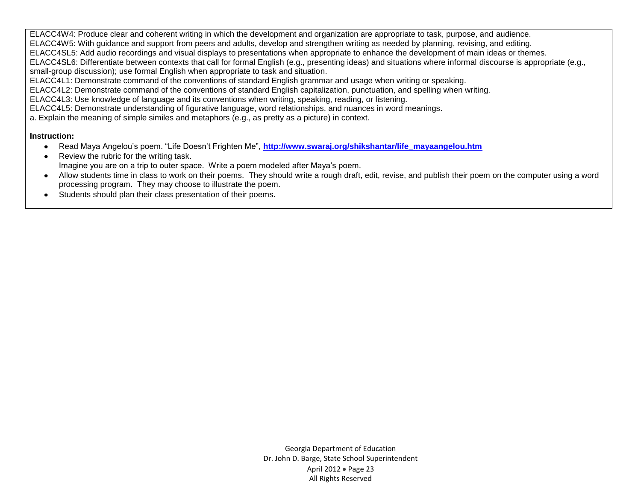ELACC4W4: Produce clear and coherent writing in which the development and organization are appropriate to task, purpose, and audience. ELACC4W5: With guidance and support from peers and adults, develop and strengthen writing as needed by planning, revising, and editing. ELACC4SL5: Add audio recordings and visual displays to presentations when appropriate to enhance the development of main ideas or themes. ELACC4SL6: Differentiate between contexts that call for formal English (e.g., presenting ideas) and situations where informal discourse is appropriate (e.g., small-group discussion); use formal English when appropriate to task and situation. ELACC4L1: Demonstrate command of the conventions of standard English grammar and usage when writing or speaking.

ELACC4L2: Demonstrate command of the conventions of standard English capitalization, punctuation, and spelling when writing.

ELACC4L3: Use knowledge of language and its conventions when writing, speaking, reading, or listening.

ELACC4L5: Demonstrate understanding of figurative language, word relationships, and nuances in word meanings.

a. Explain the meaning of simple similes and metaphors (e.g., as pretty as a picture) in context.

#### **Instruction:**

- Read Maya Angelou's poem. "Life Doesn't Frighten Me", **[http://www.swaraj.org/shikshantar/life\\_mayaangelou.htm](http://www.swaraj.org/shikshantar/life_mayaangelou.htm)**
- Review the rubric for the writing task. Imagine you are on a trip to outer space. Write a poem modeled after Maya's poem.
- Allow students time in class to work on their poems. They should write a rough draft, edit, revise, and publish their poem on the computer using a word processing program. They may choose to illustrate the poem.
- Students should plan their class presentation of their poems.

Georgia Department of Education Dr. John D. Barge, State School Superintendent April 2012 • Page 23 All Rights Reserved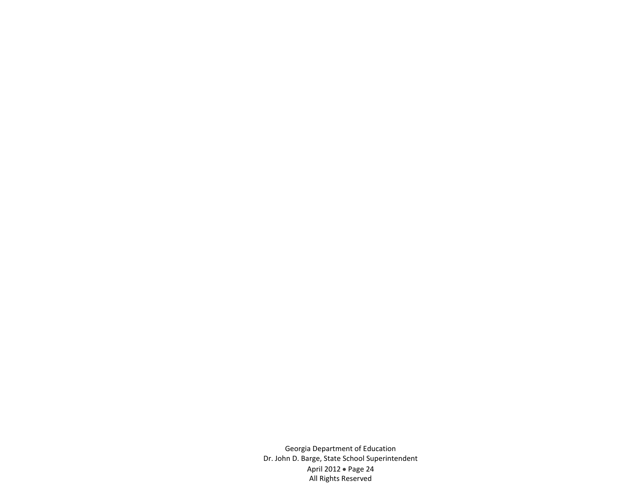Georgia Department of Education Dr. John D. Barge, State School Superintendent April 2012 · Page 24 All Rights Reserved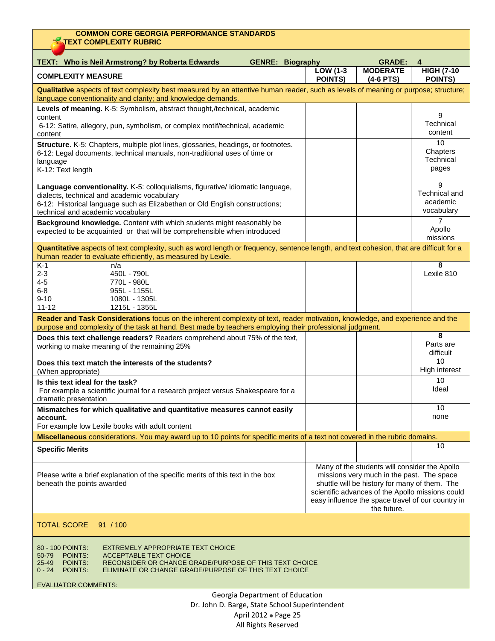| <b>COMMON CORE GEORGIA PERFORMANCE STANDARDS</b><br>TEXT COMPLEXITY RUBRIC                                                                                                                                                                                                   |                                                                                                                                                                                                                                                                     |                            |                                      |                                              |  |  |  |
|------------------------------------------------------------------------------------------------------------------------------------------------------------------------------------------------------------------------------------------------------------------------------|---------------------------------------------------------------------------------------------------------------------------------------------------------------------------------------------------------------------------------------------------------------------|----------------------------|--------------------------------------|----------------------------------------------|--|--|--|
| TEXT: Who is Neil Armstrong? by Roberta Edwards                                                                                                                                                                                                                              |                                                                                                                                                                                                                                                                     | <b>GRADE:</b>              | 4                                    |                                              |  |  |  |
| <b>COMPLEXITY MEASURE</b>                                                                                                                                                                                                                                                    | <b>GENRE: Biography</b>                                                                                                                                                                                                                                             | <b>LOW (1-3</b><br>POINTS) | <b>MODERATE</b><br>(4-6 PTS)         | <b>HIGH (7-10)</b><br>POINTS)                |  |  |  |
| Qualitative aspects of text complexity best measured by an attentive human reader, such as levels of meaning or purpose; structure;                                                                                                                                          |                                                                                                                                                                                                                                                                     |                            |                                      |                                              |  |  |  |
| language conventionality and clarity; and knowledge demands.<br>Levels of meaning. K-5: Symbolism, abstract thought,/technical, academic                                                                                                                                     |                                                                                                                                                                                                                                                                     |                            |                                      |                                              |  |  |  |
| content<br>6-12: Satire, allegory, pun, symbolism, or complex motif/technical, academic<br>content                                                                                                                                                                           |                                                                                                                                                                                                                                                                     |                            |                                      | 9<br>Technical<br>content                    |  |  |  |
| Structure. K-5: Chapters, multiple plot lines, glossaries, headings, or footnotes.<br>6-12: Legal documents, technical manuals, non-traditional uses of time or<br>language<br>K-12: Text length                                                                             |                                                                                                                                                                                                                                                                     |                            | 10<br>Chapters<br>Technical<br>pages |                                              |  |  |  |
| Language conventionality. K-5: colloquialisms, figurative/idiomatic language,<br>dialects, technical and academic vocabulary<br>6-12: Historical language such as Elizabethan or Old English constructions;<br>technical and academic vocabulary                             |                                                                                                                                                                                                                                                                     |                            |                                      | 9<br>Technical and<br>academic<br>vocabulary |  |  |  |
| Background knowledge. Content with which students might reasonably be<br>expected to be acquainted or that will be comprehensible when introduced                                                                                                                            |                                                                                                                                                                                                                                                                     |                            |                                      | $\overline{7}$<br>Apollo<br>missions         |  |  |  |
| Quantitative aspects of text complexity, such as word length or frequency, sentence length, and text cohesion, that are difficult for a                                                                                                                                      |                                                                                                                                                                                                                                                                     |                            |                                      |                                              |  |  |  |
| human reader to evaluate efficiently, as measured by Lexile.<br>$K-1$<br>n/a                                                                                                                                                                                                 |                                                                                                                                                                                                                                                                     |                            |                                      | 8                                            |  |  |  |
| $2 - 3$<br>450L - 790L<br>$4 - 5$<br>770L - 980L<br>$6 - 8$<br>955L - 1155L<br>$9 - 10$<br>1080L - 1305L                                                                                                                                                                     |                                                                                                                                                                                                                                                                     |                            |                                      | Lexile 810                                   |  |  |  |
| $11 - 12$<br>1215L - 1355L<br>Reader and Task Considerations focus on the inherent complexity of text, reader motivation, knowledge, and experience and the                                                                                                                  |                                                                                                                                                                                                                                                                     |                            |                                      |                                              |  |  |  |
| purpose and complexity of the task at hand. Best made by teachers employing their professional judgment.                                                                                                                                                                     |                                                                                                                                                                                                                                                                     |                            |                                      | 8                                            |  |  |  |
| Does this text challenge readers? Readers comprehend about 75% of the text,<br>working to make meaning of the remaining 25%                                                                                                                                                  |                                                                                                                                                                                                                                                                     |                            |                                      | Parts are<br>difficult                       |  |  |  |
| Does this text match the interests of the students?<br>(When appropriate)                                                                                                                                                                                                    |                                                                                                                                                                                                                                                                     |                            |                                      | 10<br>High interest                          |  |  |  |
| Is this text ideal for the task?<br>For example a scientific journal for a research project versus Shakespeare for a<br>dramatic presentation                                                                                                                                |                                                                                                                                                                                                                                                                     |                            |                                      | 10<br>Ideal                                  |  |  |  |
| Mismatches for which qualitative and quantitative measures cannot easily<br>account.<br>For example low Lexile books with adult content                                                                                                                                      |                                                                                                                                                                                                                                                                     |                            |                                      | 10<br>none                                   |  |  |  |
| Miscellaneous considerations. You may award up to 10 points for specific merits of a text not covered in the rubric domains.                                                                                                                                                 |                                                                                                                                                                                                                                                                     |                            |                                      |                                              |  |  |  |
| <b>Specific Merits</b>                                                                                                                                                                                                                                                       |                                                                                                                                                                                                                                                                     |                            |                                      | 10                                           |  |  |  |
| Please write a brief explanation of the specific merits of this text in the box<br>beneath the points awarded                                                                                                                                                                | Many of the students will consider the Apollo<br>missions very much in the past. The space<br>shuttle will be history for many of them. The<br>scientific advances of the Apollo missions could<br>easy influence the space travel of our country in<br>the future. |                            |                                      |                                              |  |  |  |
| <b>TOTAL SCORE</b><br>91 / 100                                                                                                                                                                                                                                               |                                                                                                                                                                                                                                                                     |                            |                                      |                                              |  |  |  |
| 80 - 100 POINTS:<br>EXTREMELY APPROPRIATE TEXT CHOICE<br>POINTS:<br><b>ACCEPTABLE TEXT CHOICE</b><br>50-79<br>RECONSIDER OR CHANGE GRADE/PURPOSE OF THIS TEXT CHOICE<br>$25 - 49$<br>POINTS:<br>$0 - 24$<br>POINTS:<br>ELIMINATE OR CHANGE GRADE/PURPOSE OF THIS TEXT CHOICE |                                                                                                                                                                                                                                                                     |                            |                                      |                                              |  |  |  |
| <b>EVALUATOR COMMENTS:</b>                                                                                                                                                                                                                                                   | Georgia Department of Education                                                                                                                                                                                                                                     |                            |                                      |                                              |  |  |  |
| Dr. John D. Barge, State School Superintendent                                                                                                                                                                                                                               |                                                                                                                                                                                                                                                                     |                            |                                      |                                              |  |  |  |

Dr. John D. Barge, State School Superintendent April 2012 · Page 25 All Rights Reserved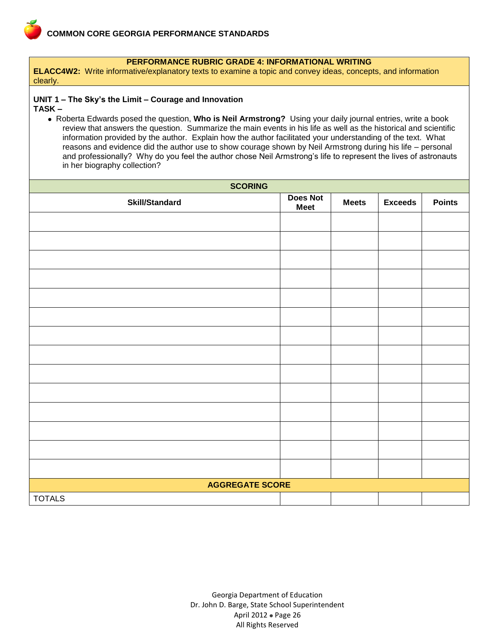### **PERFORMANCE RUBRIC GRADE 4: INFORMATIONAL WRITING**

**ELACC4W2:** Write informative/explanatory texts to examine a topic and convey ideas, concepts, and information clearly.

#### **UNIT 1 – The Sky's the Limit – Courage and Innovation TASK –**

Roberta Edwards posed the question, **Who is Neil Armstrong?** Using your daily journal entries, write a book review that answers the question. Summarize the main events in his life as well as the historical and scientific information provided by the author. Explain how the author facilitated your understanding of the text. What reasons and evidence did the author use to show courage shown by Neil Armstrong during his life – personal and professionally? Why do you feel the author chose Neil Armstrong's life to represent the lives of astronauts in her biography collection?

| <b>SCORING</b>         |                                |              |                |               |  |  |  |
|------------------------|--------------------------------|--------------|----------------|---------------|--|--|--|
| <b>Skill/Standard</b>  | <b>Does Not</b><br><b>Meet</b> | <b>Meets</b> | <b>Exceeds</b> | <b>Points</b> |  |  |  |
|                        |                                |              |                |               |  |  |  |
|                        |                                |              |                |               |  |  |  |
|                        |                                |              |                |               |  |  |  |
|                        |                                |              |                |               |  |  |  |
|                        |                                |              |                |               |  |  |  |
|                        |                                |              |                |               |  |  |  |
|                        |                                |              |                |               |  |  |  |
|                        |                                |              |                |               |  |  |  |
|                        |                                |              |                |               |  |  |  |
|                        |                                |              |                |               |  |  |  |
|                        |                                |              |                |               |  |  |  |
|                        |                                |              |                |               |  |  |  |
|                        |                                |              |                |               |  |  |  |
|                        |                                |              |                |               |  |  |  |
| <b>AGGREGATE SCORE</b> |                                |              |                |               |  |  |  |
| <b>TOTALS</b>          |                                |              |                |               |  |  |  |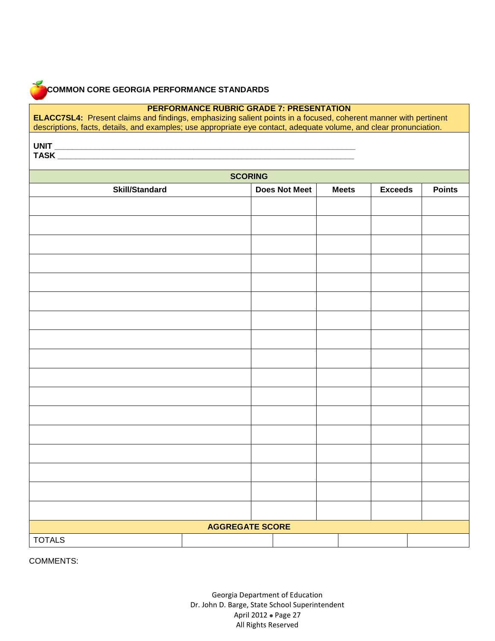

### **PERFORMANCE RUBRIC GRADE 7: PRESENTATION**

**ELACC7SL4:** Present claims and findings, emphasizing salient points in a focused, coherent manner with pertinent descriptions, facts, details, and examples; use appropriate eye contact, adequate volume, and clear pronunciation.

**UNIT \_\_\_\_\_\_\_\_\_\_\_\_\_\_\_\_\_\_\_\_\_\_\_\_\_\_\_\_\_\_\_\_\_\_\_\_\_\_\_\_\_\_\_\_\_\_\_\_\_\_\_\_\_\_\_\_\_\_\_\_\_\_\_\_\_\_\_**

**TASK \_\_\_\_\_\_\_\_\_\_\_\_\_\_\_\_\_\_\_\_\_\_\_\_\_\_\_\_\_\_\_\_\_\_\_\_\_\_\_\_\_\_\_\_\_\_\_\_\_\_\_\_\_\_\_\_\_\_\_\_\_\_\_\_\_\_**

| <b>SCORING</b>        |                        |  |                      |  |              |                |  |               |
|-----------------------|------------------------|--|----------------------|--|--------------|----------------|--|---------------|
| <b>Skill/Standard</b> |                        |  | <b>Does Not Meet</b> |  | <b>Meets</b> | <b>Exceeds</b> |  | <b>Points</b> |
|                       |                        |  |                      |  |              |                |  |               |
|                       |                        |  |                      |  |              |                |  |               |
|                       |                        |  |                      |  |              |                |  |               |
|                       |                        |  |                      |  |              |                |  |               |
|                       |                        |  |                      |  |              |                |  |               |
|                       |                        |  |                      |  |              |                |  |               |
|                       |                        |  |                      |  |              |                |  |               |
|                       |                        |  |                      |  |              |                |  |               |
|                       |                        |  |                      |  |              |                |  |               |
|                       |                        |  |                      |  |              |                |  |               |
|                       |                        |  |                      |  |              |                |  |               |
|                       |                        |  |                      |  |              |                |  |               |
|                       |                        |  |                      |  |              |                |  |               |
|                       |                        |  |                      |  |              |                |  |               |
|                       |                        |  |                      |  |              |                |  |               |
|                       |                        |  |                      |  |              |                |  |               |
|                       |                        |  |                      |  |              |                |  |               |
|                       |                        |  |                      |  |              |                |  |               |
|                       |                        |  |                      |  |              |                |  |               |
|                       |                        |  |                      |  |              |                |  |               |
|                       |                        |  |                      |  |              |                |  |               |
|                       |                        |  |                      |  |              |                |  |               |
|                       |                        |  |                      |  |              |                |  |               |
|                       |                        |  |                      |  |              |                |  |               |
|                       |                        |  |                      |  |              |                |  |               |
|                       |                        |  |                      |  |              |                |  |               |
|                       |                        |  |                      |  |              |                |  |               |
|                       |                        |  |                      |  |              |                |  |               |
|                       | <b>AGGREGATE SCORE</b> |  |                      |  |              |                |  |               |
| <b>TOTALS</b>         |                        |  |                      |  |              |                |  |               |

COMMENTS:

Georgia Department of Education Dr. John D. Barge, State School Superintendent April 2012 · Page 27 All Rights Reserved